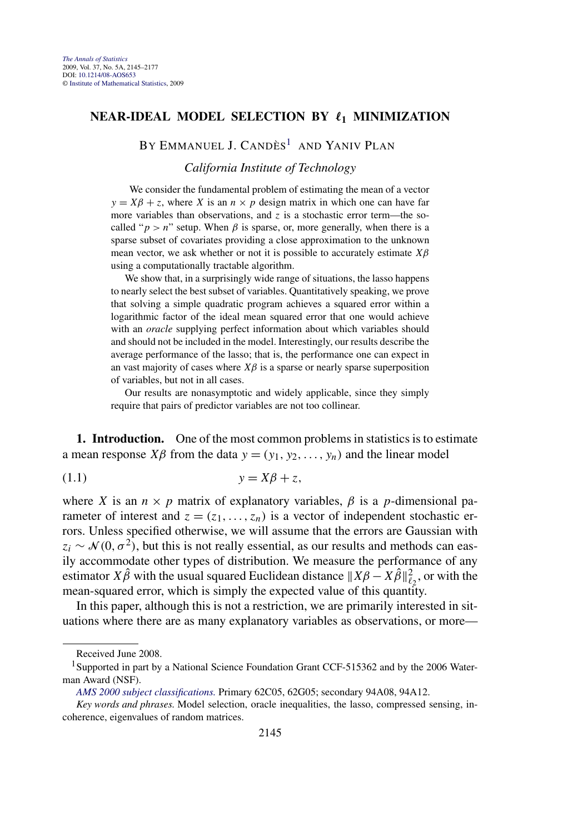## <span id="page-0-0"></span>**NEAR-IDEAL MODEL SELECTION BY**  $\ell_1$  **MINIMIZATION**

BY EMMANUEL J. CANDÈS<sup>1</sup> AND YANIV PLAN

*California Institute of Technology*

We consider the fundamental problem of estimating the mean of a vector  $y = X\beta + z$ , where *X* is an  $n \times p$  design matrix in which one can have far more variables than observations, and  $z$  is a stochastic error term—the socalled " $p > n$ " setup. When  $\beta$  is sparse, or, more generally, when there is a sparse subset of covariates providing a close approximation to the unknown mean vector, we ask whether or not it is possible to accurately estimate *Xβ* using a computationally tractable algorithm.

We show that, in a surprisingly wide range of situations, the lasso happens to nearly select the best subset of variables. Quantitatively speaking, we prove that solving a simple quadratic program achieves a squared error within a logarithmic factor of the ideal mean squared error that one would achieve with an *oracle* supplying perfect information about which variables should and should not be included in the model. Interestingly, our results describe the average performance of the lasso; that is, the performance one can expect in an vast majority of cases where  $X\beta$  is a sparse or nearly sparse superposition of variables, but not in all cases.

Our results are nonasymptotic and widely applicable, since they simply require that pairs of predictor variables are not too collinear.

**1. Introduction.** One of the most common problems in statistics is to estimate a mean response *Xβ* from the data  $y = (y_1, y_2, \ldots, y_n)$  and the linear model

$$
(1.1) \t\t y = X\beta + z,
$$

where *X* is an  $n \times p$  matrix of explanatory variables,  $\beta$  is a *p*-dimensional parameter of interest and  $z = (z_1, \ldots, z_n)$  is a vector of independent stochastic errors. Unless specified otherwise, we will assume that the errors are Gaussian with  $z_i \sim \mathcal{N}(0, \sigma^2)$ , but this is not really essential, as our results and methods can easily accommodate other types of distribution. We measure the performance of any estimator *X* $\hat{\beta}$  with the usual squared Euclidean distance  $||X\beta - X\hat{\beta}||_{\ell_2}^2$ , or with the mean-squared error, which is simply the expected value of this quantity.

In this paper, although this is not a restriction, we are primarily interested in situations where there are as many explanatory variables as observations, or more—

Received June 2008.

<sup>&</sup>lt;sup>1</sup>Supported in part by a National Science Foundation Grant CCF-515362 and by the 2006 Waterman Award (NSF).

*[AMS 2000 subject classifications.](http://www.ams.org/msc/)* Primary 62C05, 62G05; secondary 94A08, 94A12.

*Key words and phrases.* Model selection, oracle inequalities, the lasso, compressed sensing, incoherence, eigenvalues of random matrices.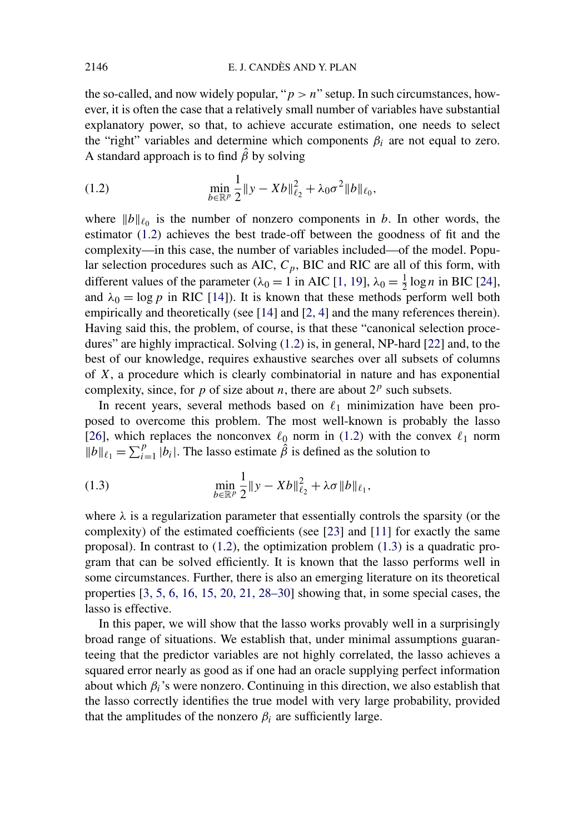the so-called, and now widely popular, " $p > n$ " setup. In such circumstances, however, it is often the case that a relatively small number of variables have substantial explanatory power, so that, to achieve accurate estimation, one needs to select the "right" variables and determine which components  $\beta_i$  are not equal to zero. A standard approach is to find  $\hat{\beta}$  by solving

(1.2) 
$$
\min_{b \in \mathbb{R}^p} \frac{1}{2} \|y - Xb\|_{\ell_2}^2 + \lambda_0 \sigma^2 \|b\|_{\ell_0},
$$

where  $||b||_{\ell_0}$  is the number of nonzero components in *b*. In other words, the estimator (1.2) achieves the best trade-off between the goodness of fit and the complexity—in this case, the number of variables included—of the model. Popular selection procedures such as AIC,  $C_p$ , BIC and RIC are all of this form, with different values of the parameter ( $\lambda_0 = 1$  in AIC [\[1, 19\]](#page-31-0),  $\lambda_0 = \frac{1}{2} \log n$  in BIC [\[24\]](#page-32-0), and  $\lambda_0 = \log p$  in RIC [\[14\]](#page-32-0)). It is known that these methods perform well both empirically and theoretically (see [\[14\]](#page-32-0) and [\[2, 4\]](#page-31-0) and the many references therein). Having said this, the problem, of course, is that these "canonical selection procedures" are highly impractical. Solving (1.2) is, in general, NP-hard [\[22\]](#page-32-0) and, to the best of our knowledge, requires exhaustive searches over all subsets of columns of *X*, a procedure which is clearly combinatorial in nature and has exponential complexity, since, for *p* of size about *n*, there are about  $2^p$  such subsets.

In recent years, several methods based on  $\ell_1$  minimization have been proposed to overcome this problem. The most well-known is probably the lasso [\[26\]](#page-32-0), which replaces the nonconvex  $\ell_0$  norm in (1.2) with the convex  $\ell_1$  norm  $||b||_{\ell_1} = \sum_{i=1}^p |b_i|$ . The lasso estimate  $\hat{\beta}$  is defined as the solution to

(1.3) 
$$
\min_{b \in \mathbb{R}^p} \frac{1}{2} \|y - Xb\|_{\ell_2}^2 + \lambda \sigma \|b\|_{\ell_1},
$$

where  $\lambda$  is a regularization parameter that essentially controls the sparsity (or the complexity) of the estimated coefficients (see [\[23\]](#page-32-0) and [\[11\]](#page-31-0) for exactly the same proposal). In contrast to (1.2), the optimization problem (1.3) is a quadratic program that can be solved efficiently. It is known that the lasso performs well in some circumstances. Further, there is also an emerging literature on its theoretical properties [\[3, 5, 6, 16, 15, 20, 21, 28–30\]](#page-31-0) showing that, in some special cases, the lasso is effective.

In this paper, we will show that the lasso works provably well in a surprisingly broad range of situations. We establish that, under minimal assumptions guaranteeing that the predictor variables are not highly correlated, the lasso achieves a squared error nearly as good as if one had an oracle supplying perfect information about which  $\beta_i$ 's were nonzero. Continuing in this direction, we also establish that the lasso correctly identifies the true model with very large probability, provided that the amplitudes of the nonzero  $\beta_i$  are sufficiently large.

<span id="page-1-0"></span>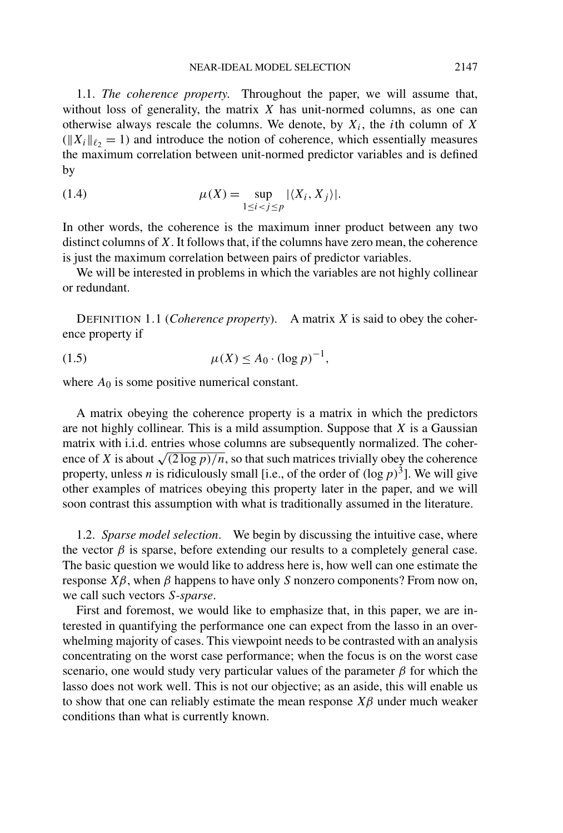<span id="page-2-0"></span>1.1. *The coherence property*. Throughout the paper, we will assume that, without loss of generality, the matrix *X* has unit-normed columns, as one can otherwise always rescale the columns. We denote, by  $X_i$ , the *i*th column of *X*  $(|X_i||_{\ell_2} = 1)$  and introduce the notion of coherence, which essentially measures the maximum correlation between unit-normed predictor variables and is defined by

(1.4) 
$$
\mu(X) = \sup_{1 \le i < j \le p} |\langle X_i, X_j \rangle|.
$$

In other words, the coherence is the maximum inner product between any two distinct columns of *X*. It follows that, if the columns have zero mean, the coherence is just the maximum correlation between pairs of predictor variables.

We will be interested in problems in which the variables are not highly collinear or redundant.

DEFINITION 1.1 (*Coherence property*). A matrix *X* is said to obey the coherence property if

(1.5) 
$$
\mu(X) \le A_0 \cdot (\log p)^{-1},
$$

where  $A_0$  is some positive numerical constant.

A matrix obeying the coherence property is a matrix in which the predictors are not highly collinear. This is a mild assumption. Suppose that *X* is a Gaussian matrix with i.i.d. entries whose columns are subsequently normalized. The coherence of *X* is about  $\sqrt{(2 \log p)/n}$ , so that such matrices trivially obey the coherence property, unless *n* is ridiculously small [i.e., of the order of  $(\log p)^3$ ]. We will give other examples of matrices obeying this property later in the paper, and we will soon contrast this assumption with what is traditionally assumed in the literature.

1.2. *Sparse model selection*. We begin by discussing the intuitive case, where the vector  $\beta$  is sparse, before extending our results to a completely general case. The basic question we would like to address here is, how well can one estimate the response *Xβ*, when *β* happens to have only *S* nonzero components? From now on, we call such vectors *S-sparse*.

First and foremost, we would like to emphasize that, in this paper, we are interested in quantifying the performance one can expect from the lasso in an overwhelming majority of cases. This viewpoint needs to be contrasted with an analysis concentrating on the worst case performance; when the focus is on the worst case scenario, one would study very particular values of the parameter  $\beta$  for which the lasso does not work well. This is not our objective; as an aside, this will enable us to show that one can reliably estimate the mean response  $X\beta$  under much weaker conditions than what is currently known.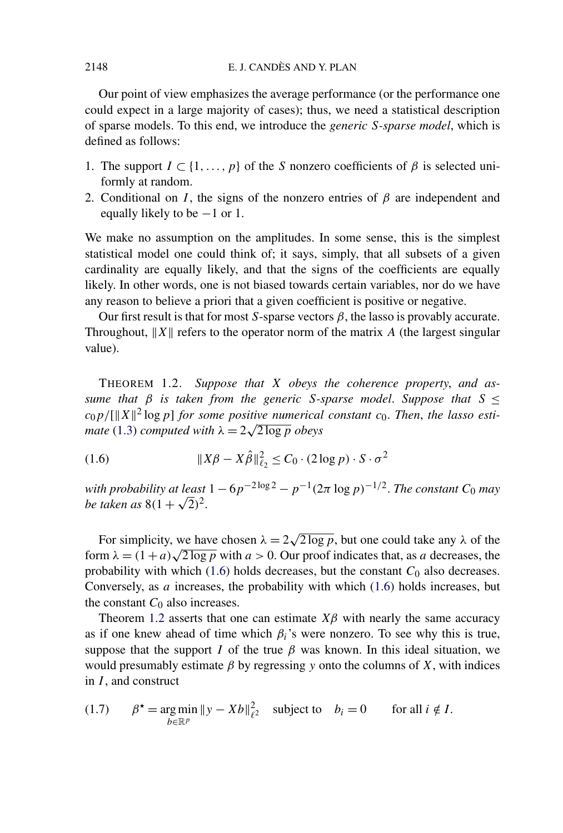Our point of view emphasizes the average performance (or the performance one could expect in a large majority of cases); thus, we need a statistical description of sparse models. To this end, we introduce the *generic S-sparse model*, which is defined as follows:

- 1. The support  $I \subset \{1, \ldots, p\}$  of the *S* nonzero coefficients of  $\beta$  is selected uniformly at random.
- 2. Conditional on *I*, the signs of the nonzero entries of  $\beta$  are independent and equally likely to be  $-1$  or 1.

We make no assumption on the amplitudes. In some sense, this is the simplest statistical model one could think of; it says, simply, that all subsets of a given cardinality are equally likely, and that the signs of the coefficients are equally likely. In other words, one is not biased towards certain variables, nor do we have any reason to believe a priori that a given coefficient is positive or negative.

Our first result is that for most *S*-sparse vectors  $\beta$ , the lasso is provably accurate. Throughout,  $||X||$  refers to the operator norm of the matrix *A* (the largest singular value).

THEOREM 1.2. *Suppose that X obeys the coherence property*, *and assume that*  $β$  *is taken from the generic S-sparse model. Suppose that*  $S \leq$  $c_0 p / ||X||^2 \log p$  *for some positive numerical constant*  $c_0$ *. Then, the lasso esti-* $\log p_1 \log p_1$  *for some positive numerical mate* [\(1.3\)](#page-1-0) *computed with*  $\lambda = 2\sqrt{2 \log p}$  *obeys* 

*Xβ* − *Xβ*ˆ<sup>2</sup> <sup>2</sup> <sup>≤</sup> *<sup>C</sup>*<sup>0</sup> · *(*2 log*p)* · *<sup>S</sup>* · *<sup>σ</sup>*<sup>2</sup> (1.6)

*with probability at least*  $1 - 6p^{-2 \log 2} - p^{-1}(2\pi \log p)^{-1/2}$ . *The constant*  $C_0$  *may be taken as*  $8(1 + \sqrt{2})^2$ .

For simplicity, we have chosen  $\lambda = 2\sqrt{2 \log p}$ , but one could take any  $\lambda$  of the form  $\lambda = (1 + a)\sqrt{2 \log p}$  with  $a > 0$ . Our proof indicates that, as *a* decreases, the probability with which  $(1.6)$  holds decreases, but the constant  $C_0$  also decreases. Conversely, as *a* increases, the probability with which (1.6) holds increases, but the constant  $C_0$  also increases.

Theorem 1.2 asserts that one can estimate  $X\beta$  with nearly the same accuracy as if one knew ahead of time which  $\beta_i$ 's were nonzero. To see why this is true, suppose that the support *I* of the true  $\beta$  was known. In this ideal situation, we would presumably estimate  $\beta$  by regressing y onto the columns of  $X$ , with indices in *I* , and construct

(1.7) 
$$
\beta^* = \underset{b \in \mathbb{R}^p}{\arg \min} \|y - Xb\|_{\ell^2}^2 \text{ subject to } b_i = 0 \text{ for all } i \notin I.
$$

<span id="page-3-0"></span>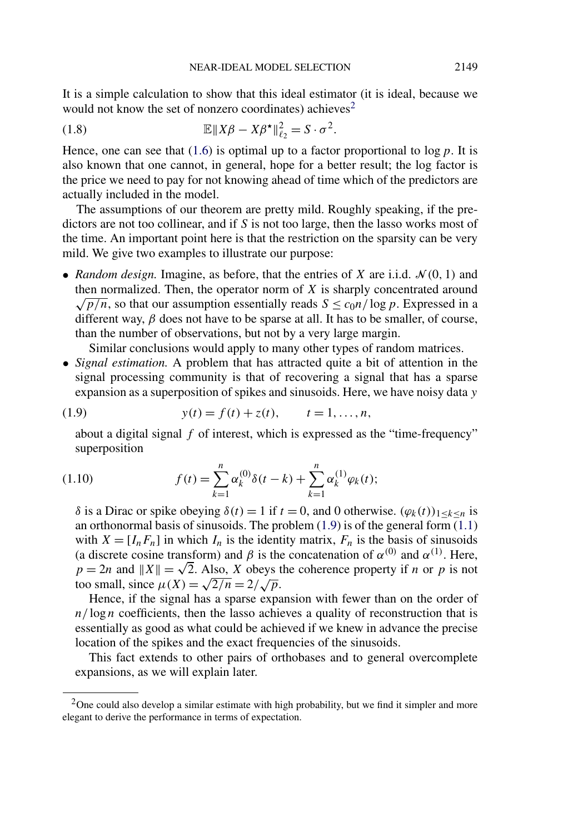<span id="page-4-0"></span>It is a simple calculation to show that this ideal estimator (it is ideal, because we would not know the set of nonzero coordinates) achieves<sup>2</sup>

(1.8) 
$$
\mathbb{E} \|X\beta - X\beta^{\star}\|_{\ell_2}^2 = S \cdot \sigma^2.
$$

Hence, one can see that  $(1.6)$  is optimal up to a factor proportional to  $\log p$ . It is also known that one cannot, in general, hope for a better result; the log factor is the price we need to pay for not knowing ahead of time which of the predictors are actually included in the model.

The assumptions of our theorem are pretty mild. Roughly speaking, if the predictors are not too collinear, and if *S* is not too large, then the lasso works most of the time. An important point here is that the restriction on the sparsity can be very mild. We give two examples to illustrate our purpose:

• *Random design.* Imagine, as before, that the entries of *X* are i.i.d.  $\mathcal{N}(0, 1)$  and then normalized. Then, the operator norm of *X* is sharply concentrated around  $\sqrt{p/n}$ , so that our assumption essentially reads  $S \leq c_0 n / \log p$ . Expressed in a different way, *β* does not have to be sparse at all. It has to be smaller, of course, than the number of observations, but not by a very large margin.

Similar conclusions would apply to many other types of random matrices.

• *Signal estimation.* A problem that has attracted quite a bit of attention in the signal processing community is that of recovering a signal that has a sparse expansion as a superposition of spikes and sinusoids. Here, we have noisy data *y*

(1.9) 
$$
y(t) = f(t) + z(t), \qquad t = 1, ..., n,
$$

about a digital signal *f* of interest, which is expressed as the "time-frequency" superposition

(1.10) 
$$
f(t) = \sum_{k=1}^{n} \alpha_k^{(0)} \delta(t - k) + \sum_{k=1}^{n} \alpha_k^{(1)} \varphi_k(t);
$$

*δ* is a Dirac or spike obeying  $\delta(t) = 1$  if  $t = 0$ , and 0 otherwise.  $(\varphi_k(t))_{1 \leq k \leq n}$  is an orthonormal basis of sinusoids. The problem  $(1.9)$  is of the general form  $(1.1)$ with  $X = [I_n F_n]$  in which  $I_n$  is the identity matrix,  $F_n$  is the basis of sinusoids (a discrete cosine transform) and  $\beta$  is the concatenation of  $\alpha^{(0)}$  and  $\alpha^{(1)}$ . Here,  $p = 2n$  and  $||X|| = \sqrt{2}$ . Also, *X* obeys the coherence property if *n* or *p* is not  $p = 2n$  and  $||X|| = \sqrt{2}$ . Also, *X* obeys to small, since  $\mu(X) = \sqrt{2/n} = 2/\sqrt{p}$ .

Hence, if the signal has a sparse expansion with fewer than on the order of *n/* log *n* coefficients, then the lasso achieves a quality of reconstruction that is essentially as good as what could be achieved if we knew in advance the precise location of the spikes and the exact frequencies of the sinusoids.

This fact extends to other pairs of orthobases and to general overcomplete expansions, as we will explain later.

 $2$ One could also develop a similar estimate with high probability, but we find it simpler and more elegant to derive the performance in terms of expectation.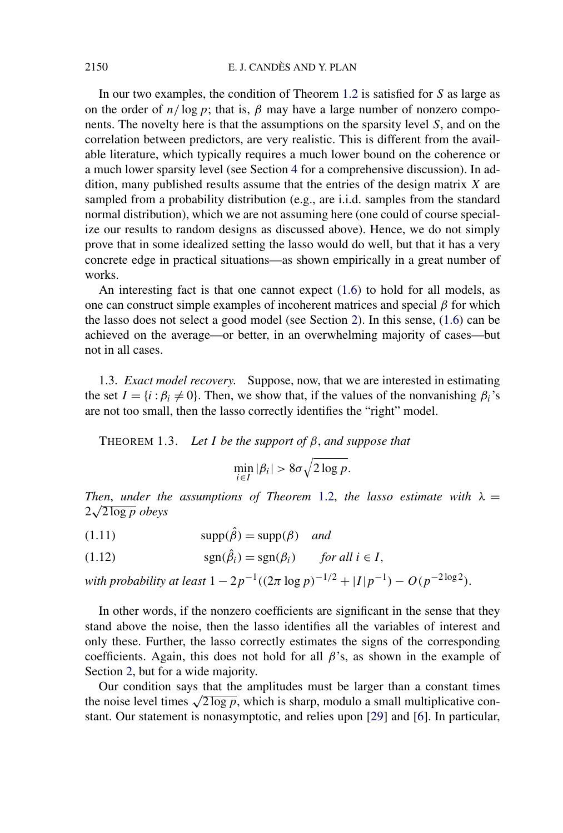<span id="page-5-0"></span>In our two examples, the condition of Theorem [1.2](#page-3-0) is satisfied for *S* as large as on the order of  $n/\log p$ ; that is,  $\beta$  may have a large number of nonzero components. The novelty here is that the assumptions on the sparsity level *S*, and on the correlation between predictors, are very realistic. This is different from the available literature, which typically requires a much lower bound on the coherence or a much lower sparsity level (see Section [4](#page-30-0) for a comprehensive discussion). In addition, many published results assume that the entries of the design matrix *X* are sampled from a probability distribution (e.g., are i.i.d. samples from the standard normal distribution), which we are not assuming here (one could of course specialize our results to random designs as discussed above). Hence, we do not simply prove that in some idealized setting the lasso would do well, but that it has a very concrete edge in practical situations—as shown empirically in a great number of works.

An interesting fact is that one cannot expect [\(1.6\)](#page-3-0) to hold for all models, as one can construct simple examples of incoherent matrices and special *β* for which the lasso does not select a good model (see Section [2\)](#page-12-0). In this sense, [\(1.6\)](#page-3-0) can be achieved on the average—or better, in an overwhelming majority of cases—but not in all cases.

1.3. *Exact model recovery*. Suppose, now, that we are interested in estimating the set  $I = \{i : \beta_i \neq 0\}$ . Then, we show that, if the values of the nonvanishing  $\beta_i$ 's are not too small, then the lasso correctly identifies the "right" model.

THEOREM 1.3. *Let I be the support of β*, *and suppose that*

$$
\min_{i \in I} |\beta_i| > 8\sigma \sqrt{2 \log p}.
$$

*Then, under the assumptions of Theorem [1.2,](#page-3-0) the lasso estimate with*  $\lambda =$ 2 <sup>√</sup>2 log*<sup>p</sup> obeys*

 $\text{supp}(\hat{\beta}) = \text{supp}(\beta)$  *and* 

(1.12) 
$$
\text{sgn}(\hat{\beta}_i) = \text{sgn}(\beta_i) \quad \text{for all } i \in I,
$$

*with probability at least*  $1 - 2p^{-1}((2\pi \log p)^{-1/2} + |I|p^{-1}) - O(p^{-2\log 2})$ .

In other words, if the nonzero coefficients are significant in the sense that they stand above the noise, then the lasso identifies all the variables of interest and only these. Further, the lasso correctly estimates the signs of the corresponding coefficients. Again, this does not hold for all *β*'s, as shown in the example of Section [2,](#page-12-0) but for a wide majority.

Our condition says that the amplitudes must be larger than a constant times the noise level times  $\sqrt{2 \log p}$ , which is sharp, modulo a small multiplicative constant. Our statement is nonasymptotic, and relies upon [\[29\]](#page-32-0) and [\[6\]](#page-31-0). In particular,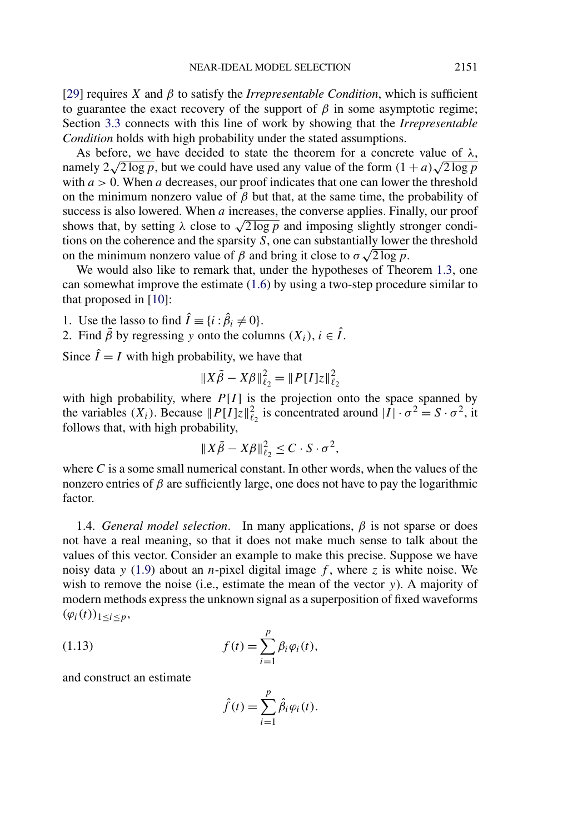[\[29\]](#page-32-0) requires *X* and  $\beta$  to satisfy the *Irrepresentable Condition*, which is sufficient to guarantee the exact recovery of the support of  $\beta$  in some asymptotic regime; Section [3.3](#page-20-0) connects with this line of work by showing that the *Irrepresentable Condition* holds with high probability under the stated assumptions.

As before, we have decided to state the theorem for a concrete value of *λ*, namely  $2\sqrt{2 \log p}$ , but we could have used any value of the form  $(1 + a)\sqrt{2 \log p}$ with  $a > 0$ . When *a* decreases, our proof indicates that one can lower the threshold on the minimum nonzero value of  $\beta$  but that, at the same time, the probability of success is also lowered. When *a* increases, the converse applies. Finally, our proof shows that, by setting  $\lambda$  close to  $\sqrt{2 \log p}$  and imposing slightly stronger conditions on the coherence and the sparsity *S*, one can substantially lower the threshold tions on the conerence and the sparsity *S*, one can substantially lower on the minimum nonzero value of *β* and bring it close to  $σ\sqrt{2 \log p}$ .

We would also like to remark that, under the hypotheses of Theorem [1.3,](#page-5-0) one can somewhat improve the estimate [\(1.6\)](#page-3-0) by using a two-step procedure similar to that proposed in [\[10\]](#page-31-0):

1. Use the lasso to find  $\hat{I} \equiv \{i : \hat{\beta}_i \neq 0\}.$ 

2. Find  $\tilde{\beta}$  by regressing *y* onto the columns  $(X_i)$ ,  $i \in \hat{I}$ .

Since  $\hat{I} = I$  with high probability, we have that

$$
||X\tilde{\beta} - X\beta||_{\ell_2}^2 = ||P[I]z||_{\ell_2}^2
$$

with high probability, where  $P[I]$  is the projection onto the space spanned by the variables  $(X_i)$ . Because  $||P[I]z||_{\ell_2}^2$  is concentrated around  $|I| \cdot \sigma^2 = S \cdot \sigma^2$ , it follows that, with high probability,

$$
||X\tilde{\beta} - X\beta||_{\ell_2}^2 \leq C \cdot S \cdot \sigma^2,
$$

where *C* is a some small numerical constant. In other words, when the values of the nonzero entries of  $\beta$  are sufficiently large, one does not have to pay the logarithmic factor.

1.4. *General model selection*. In many applications,  $\beta$  is not sparse or does not have a real meaning, so that it does not make much sense to talk about the values of this vector. Consider an example to make this precise. Suppose we have noisy data *y* [\(1.9\)](#page-4-0) about an *n*-pixel digital image *f* , where *z* is white noise. We wish to remove the noise (i.e., estimate the mean of the vector *y*). A majority of modern methods express the unknown signal as a superposition of fixed waveforms  $(\varphi_i(t))_{1 \le i \le p}$ ,

(1.13) 
$$
f(t) = \sum_{i=1}^{p} \beta_i \varphi_i(t),
$$

and construct an estimate

$$
\hat{f}(t) = \sum_{i=1}^{p} \hat{\beta}_i \varphi_i(t).
$$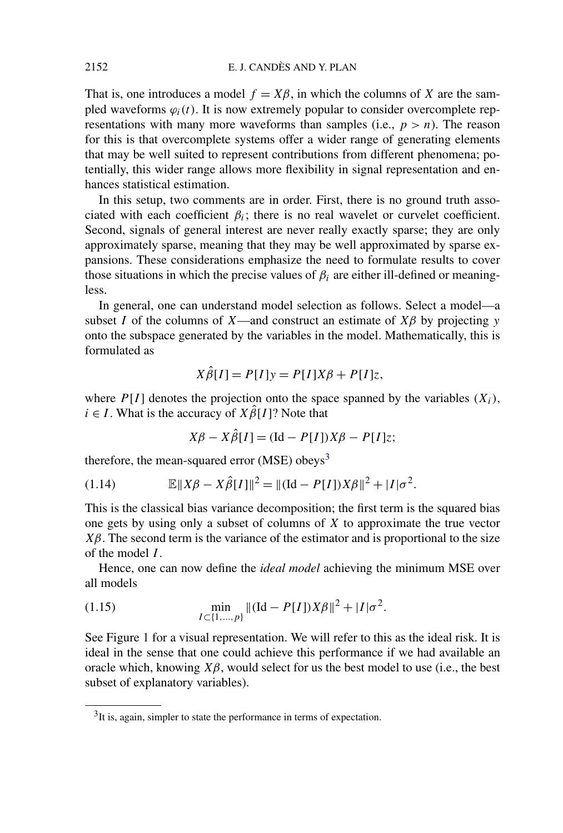<span id="page-7-0"></span>That is, one introduces a model  $f = X\beta$ , in which the columns of *X* are the sampled waveforms  $\varphi_i(t)$ . It is now extremely popular to consider overcomplete representations with many more waveforms than samples (i.e.,  $p > n$ ). The reason for this is that overcomplete systems offer a wider range of generating elements that may be well suited to represent contributions from different phenomena; potentially, this wider range allows more flexibility in signal representation and enhances statistical estimation.

In this setup, two comments are in order. First, there is no ground truth associated with each coefficient  $\beta_i$ ; there is no real wavelet or curvelet coefficient. Second, signals of general interest are never really exactly sparse; they are only approximately sparse, meaning that they may be well approximated by sparse expansions. These considerations emphasize the need to formulate results to cover those situations in which the precise values of  $\beta_i$  are either ill-defined or meaningless.

In general, one can understand model selection as follows. Select a model—a subset *I* of the columns of *X*—and construct an estimate of  $X\beta$  by projecting *y* onto the subspace generated by the variables in the model. Mathematically, this is formulated as

$$
X\hat{\beta}[I] = P[I]y = P[I]X\beta + P[I]z,
$$

where  $P[I]$  denotes the projection onto the space spanned by the variables  $(X_i)$ ,  $i \in I$ . What is the accuracy of  $X\hat{\beta}[I]$ ? Note that

$$
X\beta - X\hat{\beta}[I] = (\text{Id} - P[I])X\beta - P[I]z;
$$

therefore, the mean-squared error  $(MSE)$  obeys<sup>3</sup>

(1.14) 
$$
\mathbb{E} \|X\beta - X\hat{\beta}[I]\|^2 = \|(Id - P[I])X\beta\|^2 + |I|\sigma^2.
$$

This is the classical bias variance decomposition; the first term is the squared bias one gets by using only a subset of columns of *X* to approximate the true vector  $X\beta$ . The second term is the variance of the estimator and is proportional to the size of the model *I* .

Hence, one can now define the *ideal model* achieving the minimum MSE over all models

(1.15) 
$$
\min_{I \subset \{1, ..., p\}} \|([\mathrm{Id} - P[I])X\beta\|^2 + |I|\sigma^2).
$$

See Figure [1](#page-8-0) for a visual representation. We will refer to this as the ideal risk. It is ideal in the sense that one could achieve this performance if we had available an oracle which, knowing  $X\beta$ , would select for us the best model to use (i.e., the best subset of explanatory variables).

<sup>&</sup>lt;sup>3</sup>It is, again, simpler to state the performance in terms of expectation.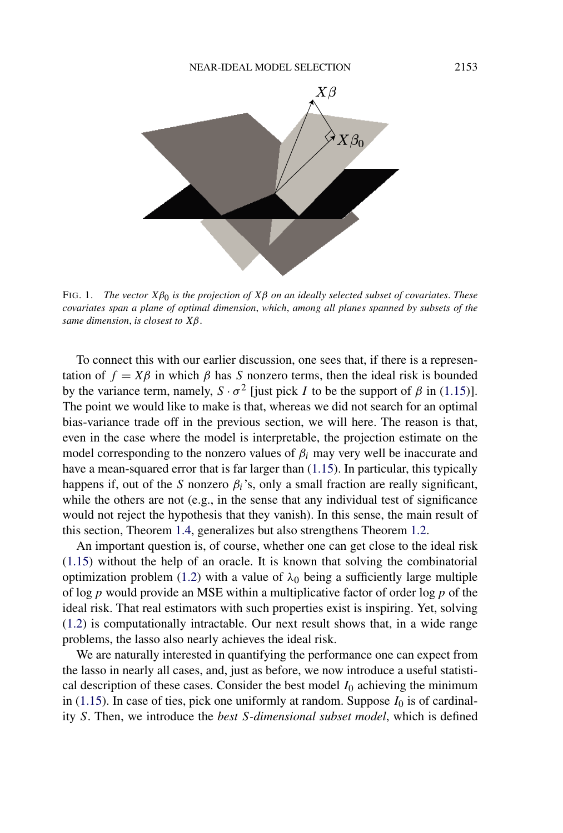<span id="page-8-0"></span>

FIG. 1. *The vector Xβ*0 *is the projection of Xβ on an ideally selected subset of covariates*. *These covariates span a plane of optimal dimension*, *which*, *among all planes spanned by subsets of the same dimension*, *is closest to Xβ*.

To connect this with our earlier discussion, one sees that, if there is a representation of  $f = X\beta$  in which  $\beta$  has *S* nonzero terms, then the ideal risk is bounded by the variance term, namely,  $S \cdot \sigma^2$  [just pick *I* to be the support of  $\beta$  in [\(1.15\)](#page-7-0)]. The point we would like to make is that, whereas we did not search for an optimal bias-variance trade off in the previous section, we will here. The reason is that, even in the case where the model is interpretable, the projection estimate on the model corresponding to the nonzero values of  $\beta_i$  may very well be inaccurate and have a mean-squared error that is far larger than [\(1.15\)](#page-7-0). In particular, this typically happens if, out of the *S* nonzero  $\beta_i$ 's, only a small fraction are really significant, while the others are not (e.g., in the sense that any individual test of significance would not reject the hypothesis that they vanish). In this sense, the main result of this section, Theorem [1.4,](#page-9-0) generalizes but also strengthens Theorem [1.2.](#page-3-0)

An important question is, of course, whether one can get close to the ideal risk [\(1.15\)](#page-7-0) without the help of an oracle. It is known that solving the combinatorial optimization problem [\(1.2\)](#page-1-0) with a value of  $\lambda_0$  being a sufficiently large multiple of log*p* would provide an MSE within a multiplicative factor of order log*p* of the ideal risk. That real estimators with such properties exist is inspiring. Yet, solving [\(1.2\)](#page-1-0) is computationally intractable. Our next result shows that, in a wide range problems, the lasso also nearly achieves the ideal risk.

We are naturally interested in quantifying the performance one can expect from the lasso in nearly all cases, and, just as before, we now introduce a useful statistical description of these cases. Consider the best model  $I_0$  achieving the minimum in [\(1.15\)](#page-7-0). In case of ties, pick one uniformly at random. Suppose  $I_0$  is of cardinality *S*. Then, we introduce the *best S-dimensional subset model*, which is defined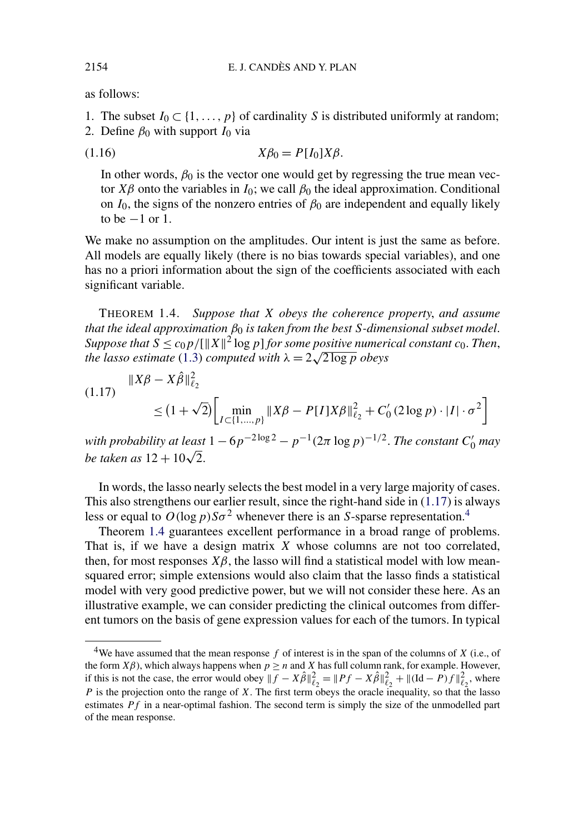as follows:

- 1. The subset  $I_0 \subset \{1, \ldots, p\}$  of cardinality *S* is distributed uniformly at random;
- 2. Define  $\beta_0$  with support  $I_0$  via

$$
(1.16) \t\t X\beta_0 = P[I_0]X\beta.
$$

In other words,  $\beta_0$  is the vector one would get by regressing the true mean vector *Xβ* onto the variables in  $I_0$ ; we call  $\beta_0$  the ideal approximation. Conditional on  $I_0$ , the signs of the nonzero entries of  $\beta_0$  are independent and equally likely to be  $-1$  or 1.

We make no assumption on the amplitudes. Our intent is just the same as before. All models are equally likely (there is no bias towards special variables), and one has no a priori information about the sign of the coefficients associated with each significant variable.

THEOREM 1.4. *Suppose that X obeys the coherence property*, *and assume that the ideal approximation β*<sup>0</sup> *is taken from the best S-dimensional subset model*. *Suppose that*  $S \leq c_0 p / [\|X\|^2 \log p]$  *for some positive numerical constant*  $c_0$ *. Then, the lasso estimate* [\(1.3\)](#page-1-0) *computed with λ* = 2 <sup>√</sup>2 log*<sup>p</sup> obeys*

$$
(1.17) \quad \|X\beta - X\hat{\beta}\|_{\ell_2}^2
$$
  
 
$$
\leq (1 + \sqrt{2}) \Biggl[ \min_{I \subset \{1, ..., p\}} \|X\beta - P[I]X\beta\|_{\ell_2}^2 + C_0' (2\log p) \cdot |I| \cdot \sigma^2 \Biggr]
$$

*with probability at least*  $1 - 6p^{-2\log 2} - p^{-1}(2\pi \log p)^{-1/2}$ . *The constant*  $C'_0$  *may be taken as*  $12 + 10\sqrt{2}$ .

In words, the lasso nearly selects the best model in a very large majority of cases. This also strengthens our earlier result, since the right-hand side in  $(1.17)$  is always less or equal to  $O(\log p)S\sigma^2$  whenever there is an *S*-sparse representation.<sup>4</sup>

Theorem 1.4 guarantees excellent performance in a broad range of problems. That is, if we have a design matrix *X* whose columns are not too correlated, then, for most responses  $X\beta$ , the lasso will find a statistical model with low meansquared error; simple extensions would also claim that the lasso finds a statistical model with very good predictive power, but we will not consider these here. As an illustrative example, we can consider predicting the clinical outcomes from different tumors on the basis of gene expression values for each of the tumors. In typical

<span id="page-9-0"></span>

<sup>4</sup>We have assumed that the mean response *f* of interest is in the span of the columns of *X* (i.e., of the form  $X\beta$ ), which always happens when  $p \ge n$  and  $X$  has full column rank, for example. However, if this is not the case, the error would obey  $|| f - \hat{X}\hat{\beta}||_{\ell_2}^2 = ||Pf - \hat{X}\hat{\beta}||_{\ell_2}^2 + ||(\text{Id} - P)f||_{\ell_2}^2$ , where *P* is the projection onto the range of *X*. The first term obeys the oracle inequality, so that the lasso estimates *Pf* in a near-optimal fashion. The second term is simply the size of the unmodelled part of the mean response.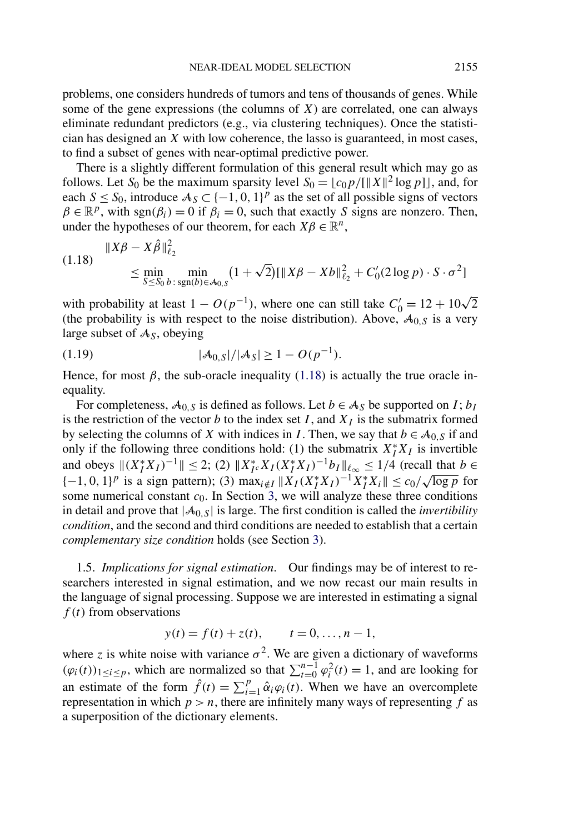<span id="page-10-0"></span>problems, one considers hundreds of tumors and tens of thousands of genes. While some of the gene expressions (the columns of  $X$ ) are correlated, one can always eliminate redundant predictors (e.g., via clustering techniques). Once the statistician has designed an *X* with low coherence, the lasso is guaranteed, in most cases, to find a subset of genes with near-optimal predictive power.

There is a slightly different formulation of this general result which may go as follows. Let  $S_0$  be the maximum sparsity level  $S_0 = \lfloor c_0 p / [\Vert X \Vert^2 \log p ] \rfloor$ , and, for each  $S \leq S_0$ , introduce  $A_S \subset \{-1, 0, 1\}^p$  as the set of all possible signs of vectors  $\beta \in \mathbb{R}^p$ , with sgn( $\beta_i$ ) = 0 if  $\beta_i$  = 0, such that exactly *S* signs are nonzero. Then, under the hypotheses of our theorem, for each  $X\beta \in \mathbb{R}^n$ ,

(1.18) 
$$
\|X\beta - X\hat{\beta}\|_{\ell_2}^2
$$
  
\n
$$
\leq \min_{S \leq S_0} \min_{b : \text{sgn}(b) \in \mathcal{A}_{0,S}} (1 + \sqrt{2}) [\|X\beta - Xb\|_{\ell_2}^2 + C_0'(2 \log p) \cdot S \cdot \sigma^2]
$$

with probability at least  $1 - O(p^{-1})$ , where one can still take  $C'_0 = 12 + 10\sqrt{2}$ (the probability is with respect to the noise distribution). Above,  $A_{0,S}$  is a very large subset of A*S*, obeying

(1.19) 
$$
|\mathcal{A}_{0,S}|/|\mathcal{A}_{S}| \geq 1 - O(p^{-1}).
$$

Hence, for most  $\beta$ , the sub-oracle inequality (1.18) is actually the true oracle inequality.

For completeness,  $A_{0,S}$  is defined as follows. Let  $b \in A_S$  be supported on *I*;  $b_I$ is the restriction of the vector *b* to the index set *I*, and  $X_I$  is the submatrix formed by selecting the columns of *X* with indices in *I*. Then, we say that  $b \in A_{0,S}$  if and only if the following three conditions hold: (1) the submatrix  $X_I^* X_I$  is invertible and obeys  $||(X_I^*X_I)^{-1}|| \leq 2$ ; (2)  $||X_I^*X_I(X_I^*X_I)^{-1}b_I||_{\ell_\infty} \leq 1/4$  (recall that  $b \in$  ${(-1, 0, 1)}^p$  is a sign pattern); (3) max<sub>*i*∉*I*</sub>  $||X_I(X_I^*X_I)^{-1}X_I^*X_i|| \le c_0/\sqrt{\log p}$  for some numerical constant  $c_0$ . In Section [3,](#page-16-0) we will analyze these three conditions in detail and prove that  $|\mathcal{A}_{0,S}|$  is large. The first condition is called the *invertibility condition*, and the second and third conditions are needed to establish that a certain *complementary size condition* holds (see Section [3\)](#page-16-0).

1.5. *Implications for signal estimation*. Our findings may be of interest to researchers interested in signal estimation, and we now recast our main results in the language of signal processing. Suppose we are interested in estimating a signal *f (t)* from observations

$$
y(t) = f(t) + z(t),
$$
  $t = 0, ..., n - 1,$ 

where *z* is white noise with variance  $\sigma^2$ . We are given a dictionary of waveforms  $(\varphi_i(t))_{1 \le i \le p}$ , which are normalized so that  $\sum_{t=0}^{n-1} \varphi_i^2(t) = 1$ , and are looking for an estimate of the form  $\hat{f}(t) = \sum_{i=1}^{p} \hat{\alpha}_i \varphi_i(t)$ . When we have an overcomplete representation in which  $p > n$ , there are infinitely many ways of representing  $f$  as a superposition of the dictionary elements.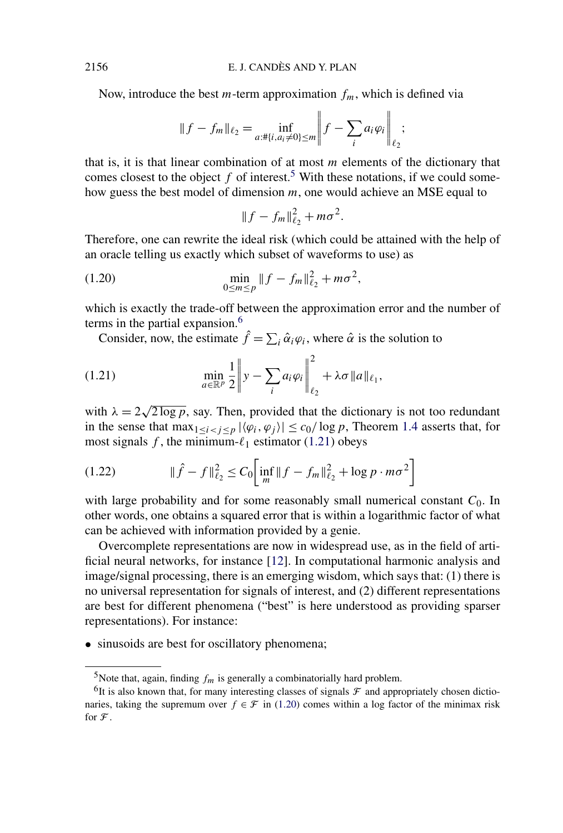Now, introduce the best  $m$ -term approximation  $f_m$ , which is defined via

$$
||f - f_m||_{\ell_2} = \inf_{a: \# \{i, a_i \neq 0\} \le m} \left|| f - \sum_i a_i \varphi_i \right||_{\ell_2};
$$

that is, it is that linear combination of at most *m* elements of the dictionary that comes closest to the object  $f$  of interest.<sup>5</sup> With these notations, if we could somehow guess the best model of dimension *m*, one would achieve an MSE equal to

$$
||f - f_m||_{\ell_2}^2 + m\sigma^2.
$$

Therefore, one can rewrite the ideal risk (which could be attained with the help of an oracle telling us exactly which subset of waveforms to use) as

(1.20) 
$$
\min_{0 \le m \le p} \|f - f_m\|_{\ell_2}^2 + m\sigma^2,
$$

which is exactly the trade-off between the approximation error and the number of terms in the partial expansion.<sup>6</sup>

Consider, now, the estimate  $\hat{f} = \sum_i \hat{\alpha}_i \varphi_i$ , where  $\hat{\alpha}$  is the solution to

(1.21) 
$$
\min_{a \in \mathbb{R}^p} \frac{1}{2} \left\| y - \sum_i a_i \varphi_i \right\|_{\ell_2}^2 + \lambda \sigma \|a\|_{\ell_1},
$$

with  $\lambda = 2\sqrt{2 \log p}$ , say. Then, provided that the dictionary is not too redundant in the sense that  $\max_{1 \leq i < j \leq p} |\langle \varphi_i, \varphi_j \rangle| \leq c_0 / \log p$ , Theorem [1.4](#page-9-0) asserts that, for most signals  $f$ , the minimum- $\ell_1$  estimator (1.21) obeys

(1.22) 
$$
\|\hat{f} - f\|_{\ell_2}^2 \leq C_0 \Big[ \inf_m \|f - f_m\|_{\ell_2}^2 + \log p \cdot m\sigma^2 \Big]
$$

with large probability and for some reasonably small numerical constant  $C_0$ . In other words, one obtains a squared error that is within a logarithmic factor of what can be achieved with information provided by a genie.

Overcomplete representations are now in widespread use, as in the field of artificial neural networks, for instance [\[12\]](#page-31-0). In computational harmonic analysis and image/signal processing, there is an emerging wisdom, which says that: (1) there is no universal representation for signals of interest, and (2) different representations are best for different phenomena ("best" is here understood as providing sparser representations). For instance:

• sinusoids are best for oscillatory phenomena;

<span id="page-11-0"></span>

<sup>&</sup>lt;sup>5</sup>Note that, again, finding  $f_m$  is generally a combinatorially hard problem.

<sup>&</sup>lt;sup>6</sup>It is also known that, for many interesting classes of signals  $\mathcal F$  and appropriately chosen dictionaries, taking the supremum over  $f \in \mathcal{F}$  in (1.20) comes within a log factor of the minimax risk for  $\mathcal F$ .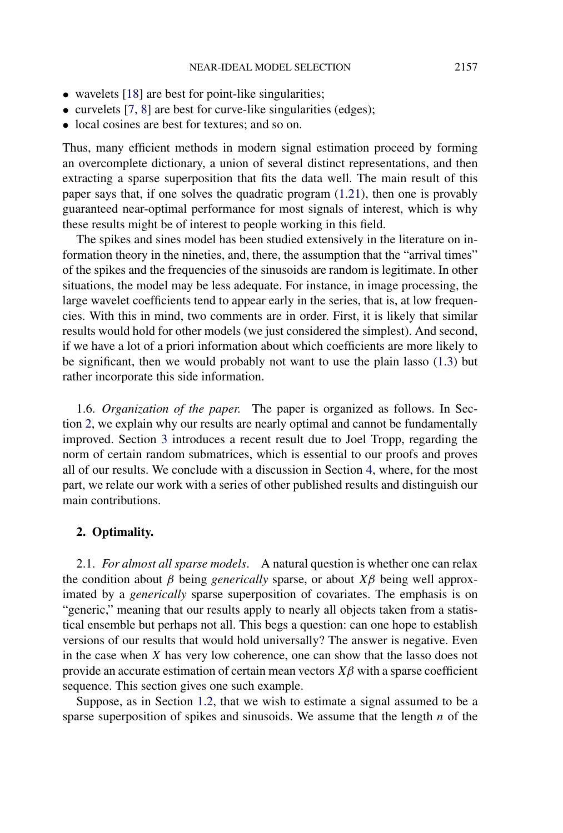- <span id="page-12-0"></span>• wavelets [\[18\]](#page-32-0) are best for point-like singularities;
- curvelets [\[7, 8\]](#page-31-0) are best for curve-like singularities (edges);
- local cosines are best for textures; and so on.

Thus, many efficient methods in modern signal estimation proceed by forming an overcomplete dictionary, a union of several distinct representations, and then extracting a sparse superposition that fits the data well. The main result of this paper says that, if one solves the quadratic program [\(1.21\)](#page-11-0), then one is provably guaranteed near-optimal performance for most signals of interest, which is why these results might be of interest to people working in this field.

The spikes and sines model has been studied extensively in the literature on information theory in the nineties, and, there, the assumption that the "arrival times" of the spikes and the frequencies of the sinusoids are random is legitimate. In other situations, the model may be less adequate. For instance, in image processing, the large wavelet coefficients tend to appear early in the series, that is, at low frequencies. With this in mind, two comments are in order. First, it is likely that similar results would hold for other models (we just considered the simplest). And second, if we have a lot of a priori information about which coefficients are more likely to be significant, then we would probably not want to use the plain lasso [\(1.3\)](#page-1-0) but rather incorporate this side information.

1.6. *Organization of the paper*. The paper is organized as follows. In Section 2, we explain why our results are nearly optimal and cannot be fundamentally improved. Section [3](#page-16-0) introduces a recent result due to Joel Tropp, regarding the norm of certain random submatrices, which is essential to our proofs and proves all of our results. We conclude with a discussion in Section [4,](#page-30-0) where, for the most part, we relate our work with a series of other published results and distinguish our main contributions.

## **2. Optimality.**

2.1. *For almost all sparse models*. A natural question is whether one can relax the condition about *β* being *generically* sparse, or about *Xβ* being well approximated by a *generically* sparse superposition of covariates. The emphasis is on "generic," meaning that our results apply to nearly all objects taken from a statistical ensemble but perhaps not all. This begs a question: can one hope to establish versions of our results that would hold universally? The answer is negative. Even in the case when *X* has very low coherence, one can show that the lasso does not provide an accurate estimation of certain mean vectors  $X\beta$  with a sparse coefficient sequence. This section gives one such example.

Suppose, as in Section [1.2,](#page-2-0) that we wish to estimate a signal assumed to be a sparse superposition of spikes and sinusoids. We assume that the length *n* of the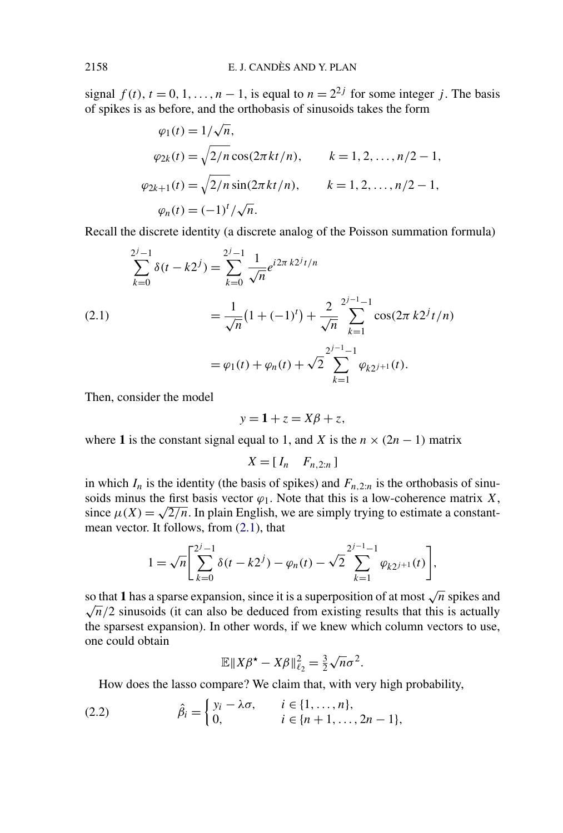<span id="page-13-0"></span>signal  $f(t)$ ,  $t = 0, 1, \ldots, n - 1$ , is equal to  $n = 2^{2j}$  for some integer *j*. The basis of spikes is as before, and the orthobasis of sinusoids takes the form

$$
\varphi_1(t) = 1/\sqrt{n},
$$
  
\n
$$
\varphi_{2k}(t) = \sqrt{2/n} \cos(2\pi kt/n), \qquad k = 1, 2, ..., n/2 - 1,
$$
  
\n
$$
\varphi_{2k+1}(t) = \sqrt{2/n} \sin(2\pi kt/n), \qquad k = 1, 2, ..., n/2 - 1,
$$
  
\n
$$
\varphi_n(t) = (-1)^t / \sqrt{n}.
$$

Recall the discrete identity (a discrete analog of the Poisson summation formula)

$$
\sum_{k=0}^{2^{j}-1} \delta(t - k2^{j}) = \sum_{k=0}^{2^{j}-1} \frac{1}{\sqrt{n}} e^{i2\pi k2^{j}t/n}
$$
\n
$$
= \frac{1}{\sqrt{n}} (1 + (-1)^{t}) + \frac{2}{\sqrt{n}} \sum_{k=1}^{2^{j}-1} \cos(2\pi k2^{j}t/n)
$$
\n
$$
= \varphi_{1}(t) + \varphi_{n}(t) + \sqrt{2} \sum_{k=1}^{2^{j}-1} \varphi_{k2^{j+1}}(t).
$$

Then, consider the model

$$
y = 1 + z = X\beta + z,
$$

where 1 is the constant signal equal to 1, and *X* is the  $n \times (2n - 1)$  matrix

$$
X = [I_n \quad F_{n,2:n}]
$$

in which  $I_n$  is the identity (the basis of spikes) and  $F_{n,2:n}$  is the orthobasis of sinusoids minus the first basis vector  $\varphi_1$ . Note that this is a low-coherence matrix *X*, since  $\mu(X) = \sqrt{2/n}$ . In plain English, we are simply trying to estimate a constantmean vector. It follows, from (2.1), that

$$
1 = \sqrt{n} \left[ \sum_{k=0}^{2^{j}-1} \delta(t - k2^{j}) - \varphi_n(t) - \sqrt{2} \sum_{k=1}^{2^{j}-1} \varphi_{k2^{j+1}}(t) \right],
$$

so that **1** has a sparse expansion, since it is a superposition of at most  $\sqrt{n}$  spikes and  $\sqrt{n}/2$  sinusoids (it can also be deduced from existing results that this is actually the sparsest expansion). In other words, if we knew which column vectors to use, one could obtain

$$
\mathbb{E} \|X\beta^* - X\beta\|_{\ell_2}^2 = \frac{3}{2}\sqrt{n}\sigma^2.
$$

How does the lasso compare? We claim that, with very high probability,

(2.2) 
$$
\hat{\beta}_i = \begin{cases} y_i - \lambda \sigma, & i \in \{1, ..., n\}, \\ 0, & i \in \{n+1, ..., 2n-1\}, \end{cases}
$$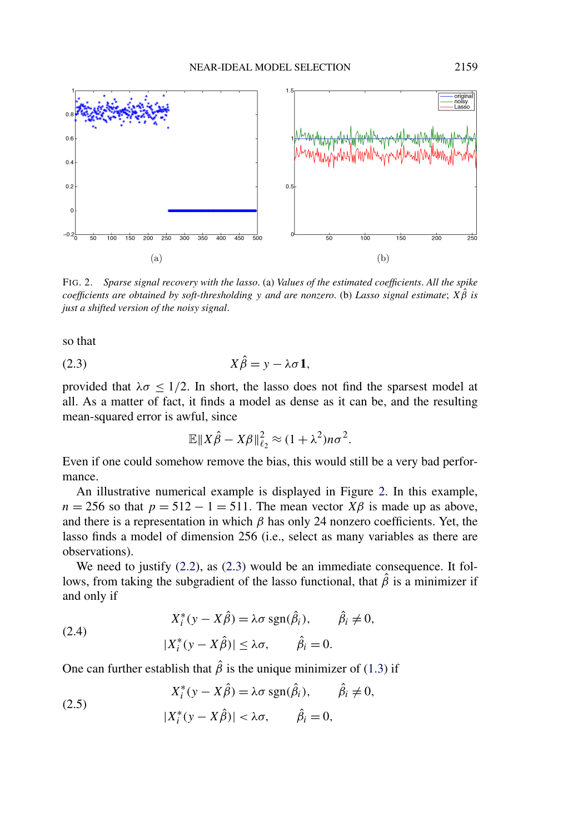<span id="page-14-0"></span>

FIG. 2. *Sparse signal recovery with the lasso*. (a) *Values of the estimated coefficients*. *All the spike coefficients are obtained by soft-thresholding y and are nonzero*. (b) *Lasso signal estimate*; *Xβ*ˆ *is just a shifted version of the noisy signal*.

so that

$$
(2.3) \t\t\t X\hat{\beta} = y - \lambda \sigma \mathbf{1},
$$

provided that  $\lambda \sigma \leq 1/2$ . In short, the lasso does not find the sparsest model at all. As a matter of fact, it finds a model as dense as it can be, and the resulting mean-squared error is awful, since

$$
\mathbb{E} \|X\hat{\beta} - X\beta\|_{\ell_2}^2 \approx (1 + \lambda^2) n \sigma^2.
$$

Even if one could somehow remove the bias, this would still be a very bad performance.

An illustrative numerical example is displayed in Figure 2. In this example,  $n = 256$  so that  $p = 512 - 1 = 511$ . The mean vector  $X\beta$  is made up as above, and there is a representation in which  $\beta$  has only 24 nonzero coefficients. Yet, the lasso finds a model of dimension 256 (i.e., select as many variables as there are observations).

We need to justify  $(2.2)$ , as  $(2.3)$  would be an immediate consequence. It follows, from taking the subgradient of the lasso functional, that  $\beta$  is a minimizer if and only if

(2.4) 
$$
X_i^*(y - X\hat{\beta}) = \lambda \sigma \operatorname{sgn}(\hat{\beta}_i), \qquad \hat{\beta}_i \neq 0,
$$

$$
|X_i^*(y - X\hat{\beta})| \leq \lambda \sigma, \qquad \hat{\beta}_i = 0.
$$

One can further establish that  $\hat{\beta}$  is the unique minimizer of [\(1.3\)](#page-1-0) if

(2.5) 
$$
X_i^*(y - X\hat{\beta}) = \lambda \sigma \operatorname{sgn}(\hat{\beta}_i), \qquad \hat{\beta}_i \neq 0,
$$

$$
|X_i^*(y - X\hat{\beta})| < \lambda \sigma, \qquad \hat{\beta}_i = 0,
$$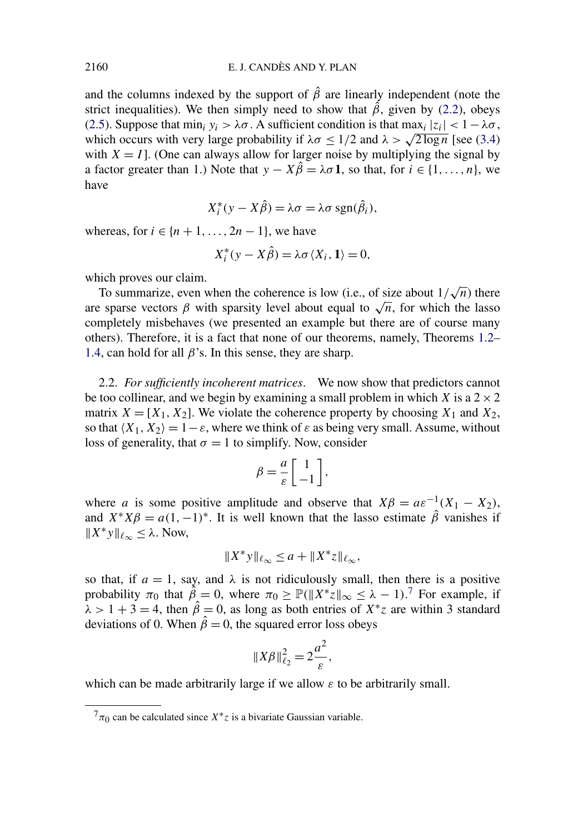and the columns indexed by the support of  $\hat{\beta}$  are linearly independent (note the strict inequalities). We then simply need to show that  $\hat{\beta}$ , given by [\(2.2\)](#page-13-0), obeys [\(2.5\)](#page-14-0). Suppose that min<sub>i</sub>  $y_i > \lambda \sigma$ . A sufficient condition is that max<sub>i</sub>  $|z_i| < 1 - \lambda \sigma$ , which occurs with very large probability if  $\lambda \sigma \leq 1/2$  and  $\lambda > \sqrt{2 \log n}$  [see [\(3.4\)](#page-17-0) with  $X = I$ . (One can always allow for larger noise by multiplying the signal by a factor greater than 1.) Note that  $y - X\hat{\beta} = \lambda \sigma \mathbf{1}$ , so that, for  $i \in \{1, ..., n\}$ , we have

$$
X_i^*(y - X\hat{\beta}) = \lambda \sigma = \lambda \sigma \operatorname{sgn}(\hat{\beta}_i),
$$

whereas, for  $i \in \{n+1, \ldots, 2n-1\}$ , we have

$$
X_i^*(y - X\hat{\beta}) = \lambda \sigma \langle X_i, \mathbf{1} \rangle = 0,
$$

which proves our claim.

To summarize, even when the coherence is low (i.e., of size about  $1/\sqrt{n}$ ) there are sparse vectors  $\beta$  with sparsity level about equal to  $\sqrt{n}$ , for which the lasso completely misbehaves (we presented an example but there are of course many others). Therefore, it is a fact that none of our theorems, namely, Theorems [1.2–](#page-3-0) [1.4,](#page-9-0) can hold for all  $\beta$ 's. In this sense, they are sharp.

2.2. *For sufficiently incoherent matrices*. We now show that predictors cannot be too collinear, and we begin by examining a small problem in which *X* is a  $2 \times 2$ matrix  $X = [X_1, X_2]$ . We violate the coherence property by choosing  $X_1$  and  $X_2$ , so that  $\langle X_1, X_2 \rangle = 1 - \varepsilon$ , where we think of  $\varepsilon$  as being very small. Assume, without loss of generality, that  $\sigma = 1$  to simplify. Now, consider

$$
\beta = \frac{a}{\varepsilon} \left[ \begin{array}{c} 1 \\ -1 \end{array} \right],
$$

where *a* is some positive amplitude and observe that  $X\beta = a\varepsilon^{-1}(X_1 - X_2)$ , and  $X^*X\beta = a(1, -1)^*$ . It is well known that the lasso estimate  $\hat{\beta}$  vanishes if  $||X^*y||_{\ell_{\infty}} \leq \lambda$ . Now,

$$
||X^*y||_{\ell_\infty} \le a + ||X^*z||_{\ell_\infty},
$$

so that, if  $a = 1$ , say, and  $\lambda$  is not ridiculously small, then there is a positive probability  $\pi_0$  that  $\hat{\beta} = 0$ , where  $\pi_0 \geq \mathbb{P}(\|X^*z\|_{\infty} \leq \lambda - 1)$ .<sup>7</sup> For example, if  $\hat{\lambda}$  > 1 + 3 = 4, then  $\hat{\beta}$  = 0, as long as both entries of  $X^*$ *z* are within 3 standard deviations of 0. When  $\hat{\beta} = 0$ , the squared error loss obeys

$$
||X\beta||_{\ell_2}^2 = 2\frac{a^2}{\varepsilon},
$$

which can be made arbitrarily large if we allow *ε* to be arbitrarily small.

 $^{7}\pi_{0}$  can be calculated since  $X^*z$  is a bivariate Gaussian variable.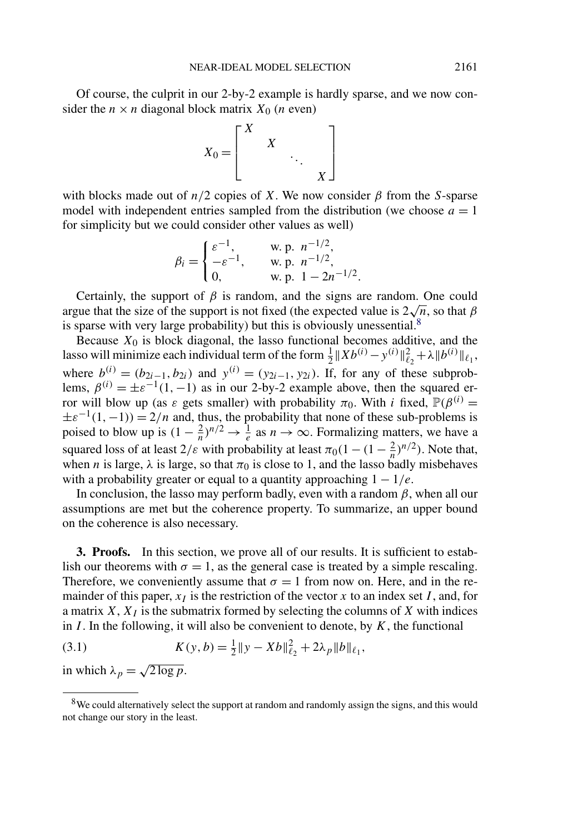<span id="page-16-0"></span>Of course, the culprit in our 2-by-2 example is hardly sparse, and we now consider the  $n \times n$  diagonal block matrix  $X_0$  (*n* even)



with blocks made out of  $n/2$  copies of *X*. We now consider  $\beta$  from the *S*-sparse model with independent entries sampled from the distribution (we choose  $a = 1$ ) for simplicity but we could consider other values as well)

$$
\beta_i = \begin{cases} \varepsilon^{-1}, & \text{w. p. } n^{-1/2}, \\ -\varepsilon^{-1}, & \text{w. p. } n^{-1/2}, \\ 0, & \text{w. p. } 1 - 2n^{-1/2}. \end{cases}
$$

Certainly, the support of  $\beta$  is random, and the signs are random. One could argue that the size of the support is not fixed (the expected value is  $2\sqrt{n}$ , so that  $\beta$ is sparse with very large probability) but this is obviously unessential. $8$ 

Because  $X_0$  is block diagonal, the lasso functional becomes additive, and the lasso will minimize each individual term of the form  $\frac{1}{2}||Xb^{(i)} - y^{(i)}||_{\ell_2}^2 + \lambda ||b^{(i)}||_{\ell_1}$ , where  $b^{(i)} = (b_{2i-1}, b_{2i})$  and  $y^{(i)} = (y_{2i-1}, y_{2i})$ . If, for any of these subproblems,  $\beta^{(i)} = \pm \varepsilon^{-1}(1, -1)$  as in our 2-by-2 example above, then the squared error will blow up (as *ε* gets smaller) with probability  $\pi_0$ . With *i* fixed,  $\mathbb{P}(\beta^{(i)} =$  $\pm \varepsilon^{-1}(1, -1) = 2/n$  and, thus, the probability that none of these sub-problems is poised to blow up is  $(1 - \frac{2}{n})^{n/2} \to \frac{1}{e}$  as  $n \to \infty$ . Formalizing matters, we have a squared loss of at least  $2/\varepsilon$  with probability at least  $\pi_0(1 - (1 - \frac{2}{n})^{n/2})$ . Note that, when *n* is large,  $\lambda$  is large, so that  $\pi_0$  is close to 1, and the lasso badly misbehaves with a probability greater or equal to a quantity approaching  $1 - 1/e$ .

In conclusion, the lasso may perform badly, even with a random  $\beta$ , when all our assumptions are met but the coherence property. To summarize, an upper bound on the coherence is also necessary.

**3. Proofs.** In this section, we prove all of our results. It is sufficient to establish our theorems with  $\sigma = 1$ , as the general case is treated by a simple rescaling. Therefore, we conveniently assume that  $\sigma = 1$  from now on. Here, and in the remainder of this paper,  $x_I$  is the restriction of the vector x to an index set *I*, and, for a matrix  $X$ ,  $X_I$  is the submatrix formed by selecting the columns of  $X$  with indices in *I* . In the following, it will also be convenient to denote, by *K*, the functional

(3.1) 
$$
K(y, b) = \frac{1}{2} \|y - Xb\|_{\ell_2}^2 + 2\lambda_p \|b\|_{\ell_1},
$$

in which  $\lambda_p = \sqrt{2 \log p}$ .

<sup>&</sup>lt;sup>8</sup>We could alternatively select the support at random and randomly assign the signs, and this would not change our story in the least.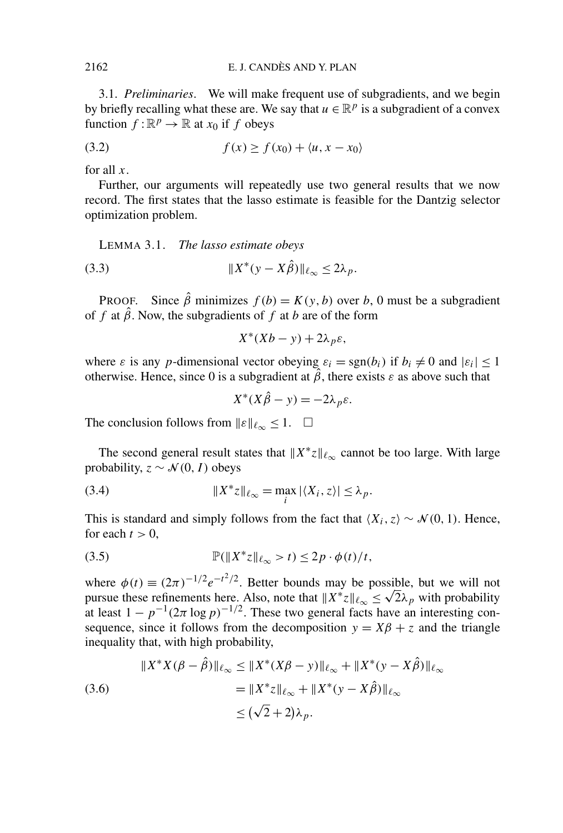<span id="page-17-0"></span>3.1. *Preliminaries*. We will make frequent use of subgradients, and we begin by briefly recalling what these are. We say that  $u \in \mathbb{R}^p$  is a subgradient of a convex function  $f : \mathbb{R}^p \to \mathbb{R}$  at  $x_0$  if *f* obeys

$$
(3.2) \t\t f(x) \ge f(x_0) + \langle u, x - x_0 \rangle
$$

for all *x*.

Further, our arguments will repeatedly use two general results that we now record. The first states that the lasso estimate is feasible for the Dantzig selector optimization problem.

LEMMA 3.1. *The lasso estimate obeys*

*X*<sup>∗</sup> (3.3) *(y* − *Xβ)*ˆ <sup>∞</sup> ≤ 2*λp.*

PROOF. Since  $\hat{\beta}$  minimizes  $f(b) = K(y, b)$  over *b*, 0 must be a subgradient of *f* at  $\hat{\beta}$ . Now, the subgradients of *f* at *b* are of the form

$$
X^*(Xb - y) + 2\lambda_p \varepsilon,
$$

where  $\varepsilon$  is any *p*-dimensional vector obeying  $\varepsilon_i = \text{sgn}(b_i)$  if  $b_i \neq 0$  and  $|\varepsilon_i| \leq 1$ otherwise. Hence, since 0 is a subgradient at  $\hat{\beta}$ , there exists  $\varepsilon$  as above such that

$$
X^*(X\hat{\beta} - y) = -2\lambda_p \varepsilon.
$$

The conclusion follows from  $\|\varepsilon\|_{\ell_{\infty}} \leq 1$ .  $\Box$ 

The second general result states that  $||X^*z||_{\ell_{\infty}}$  cannot be too large. With large probability,  $z \sim \mathcal{N}(0, I)$  obeys

(3.4) 
$$
||X^*z||_{\ell_{\infty}} = \max_{i} |\langle X_i, z \rangle| \leq \lambda_p.
$$

This is standard and simply follows from the fact that  $\langle X_i, z \rangle \sim \mathcal{N}(0, 1)$ . Hence, for each  $t > 0$ ,

(3.5) 
$$
\mathbb{P}(\|X^*z\|_{\ell_\infty} > t) \leq 2p \cdot \phi(t)/t,
$$

where  $\phi(t) \equiv (2\pi)^{-1/2} e^{-t^2/2}$ . Better bounds may be possible, but we will not where  $\varphi(t) \equiv (2\pi)^{-1/2} e^{-t/2}$ . Better bounds may be possible, but we will not pursue these refinements here. Also, note that  $||X^*z||_{\ell_{\infty}} \le \sqrt{2}\lambda_p$  with probability at least  $1 - p^{-1}(2\pi \log p)^{-1/2}$ . These two general facts have an interesting consequence, since it follows from the decomposition  $y = X\beta + z$  and the triangle inequality that, with high probability,

$$
||X^*X(\beta - \hat{\beta})||_{\ell_{\infty}} \le ||X^*(X\beta - y)||_{\ell_{\infty}} + ||X^*(y - X\hat{\beta})||_{\ell_{\infty}}
$$
  
(3.6)  

$$
= ||X^*z||_{\ell_{\infty}} + ||X^*(y - X\hat{\beta})||_{\ell_{\infty}}
$$
  

$$
\le (\sqrt{2} + 2)\lambda_p.
$$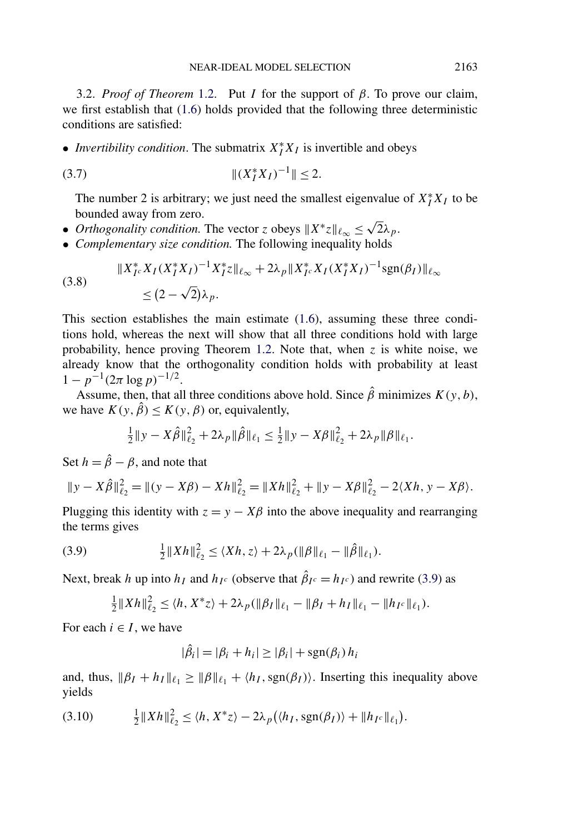<span id="page-18-0"></span>3.2. *Proof of Theorem* [1.2.](#page-3-0) Put *I* for the support of *β*. To prove our claim, we first establish that [\(1.6\)](#page-3-0) holds provided that the following three deterministic conditions are satisfied:

• *Invertibility condition*. The submatrix  $X_I^* X_I$  is invertible and obeys

$$
||(X_I^* X_I)^{-1}|| \le 2.
$$

The number 2 is arbitrary; we just need the smallest eigenvalue of  $X_I^* X_I$  to be bounded away from zero.

- *Orthogonality condition.* The vector *z* obeys  $X^*z\|_{\ell_\infty} \leq \sqrt{2}\lambda_p$ .
- *Complementary size condition.* The following inequality holds

(3.8) 
$$
||X_{I^c}^* X_I (X_I^* X_I)^{-1} X_I^* z||_{\ell_\infty} + 2\lambda_p ||X_{I^c}^* X_I (X_I^* X_I)^{-1} \text{sgn}(\beta_I) ||_{\ell_\infty}
$$

$$
\leq (2 - \sqrt{2})\lambda_p.
$$

This section establishes the main estimate [\(1.6\)](#page-3-0), assuming these three conditions hold, whereas the next will show that all three conditions hold with large probability, hence proving Theorem [1.2.](#page-3-0) Note that, when *z* is white noise, we already know that the orthogonality condition holds with probability at least  $1 - p^{-1}(2\pi \log p)^{-1/2}$ .

Assume, then, that all three conditions above hold. Since  $\hat{\beta}$  minimizes  $K(y, b)$ , we have  $K(y, \hat{\beta}) \le K(y, \beta)$  or, equivalently,

$$
\frac{1}{2}||y - X\hat{\beta}||_{\ell_2}^2 + 2\lambda_p ||\hat{\beta}||_{\ell_1} \le \frac{1}{2}||y - X\beta||_{\ell_2}^2 + 2\lambda_p ||\beta||_{\ell_1}.
$$

Set  $h = \hat{\beta} - \beta$ , and note that

$$
||y - X\hat{\beta}||_{\ell_2}^2 = ||(y - X\beta) - Xh||_{\ell_2}^2 = ||Xh||_{\ell_2}^2 + ||y - X\beta||_{\ell_2}^2 - 2\langle Xh, y - X\beta \rangle.
$$

Plugging this identity with  $z = y - X\beta$  into the above inequality and rearranging the terms gives

(3.9) 
$$
\frac{1}{2}||Xh||_{\ell_2}^2 \leq \langle Xh, z \rangle + 2\lambda_p(||\beta||_{\ell_1} - ||\hat{\beta}||_{\ell_1}).
$$

Next, break *h* up into  $h_I$  and  $h_{I^c}$  (observe that  $\hat{\beta}_{I^c} = h_{I^c}$ ) and rewrite (3.9) as

$$
\frac{1}{2}||Xh||_{\ell_2}^2 \le \langle h, X^*z \rangle + 2\lambda_p(||\beta_I||_{\ell_1} - ||\beta_I + h_I||_{\ell_1} - ||h_{I^c}||_{\ell_1}).
$$

For each  $i \in I$ , we have

$$
|\hat{\beta}_i| = |\beta_i + h_i| \ge |\beta_i| + \operatorname{sgn}(\beta_i) h_i
$$

and, thus,  $\|\beta_I + h_I\|_{\ell_1} \ge \|\beta\|_{\ell_1} + \langle h_I, \text{sgn}(\beta_I) \rangle$ . Inserting this inequality above yields

$$
(3.10) \qquad \frac{1}{2} \|Xh\|_{\ell_2}^2 \le \langle h, X^*z \rangle - 2\lambda_p(\langle h_I, \text{sgn}(\beta_I) \rangle + \|h_{I^c}\|_{\ell_1}).
$$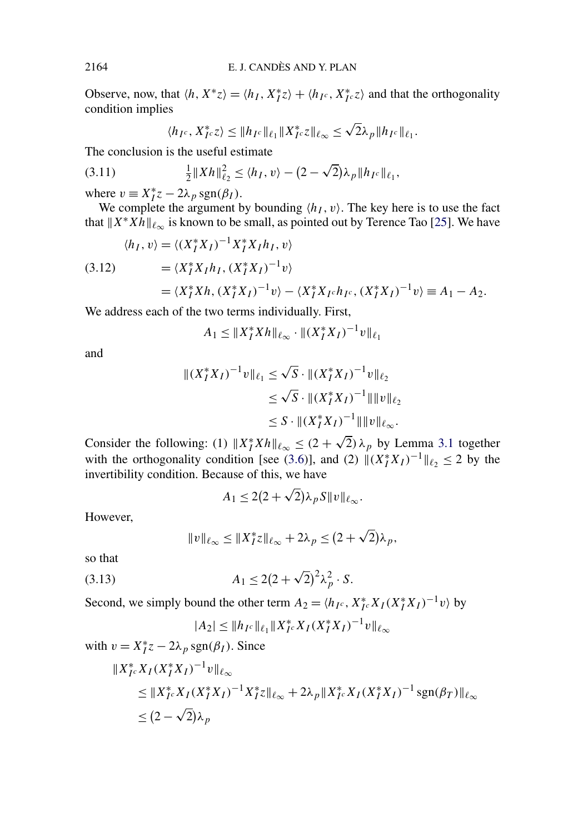Observe, now, that  $\langle h, X^*z \rangle = \langle h_I, X_I^*z \rangle + \langle h_{I^c}, X_{I^c}^*z \rangle$  and that the orthogonality condition implies

$$
\langle h_{I^c}, X_{I^c}^* z \rangle \leq \| h_{I^c} \|_{\ell_1} \| X_{I^c}^* z \|_{\ell_\infty} \leq \sqrt{2} \lambda_p \| h_{I^c} \|_{\ell_1}.
$$

The conclusion is the useful estimate

(3.11) 
$$
\frac{1}{2} ||Xh||_{\ell_2}^2 \le \langle h_I, v \rangle - (2 - \sqrt{2})\lambda_P ||h_{I^c}||_{\ell_1},
$$

where  $v \equiv X_I^* z - 2\lambda_p \operatorname{sgn}(\beta_I)$ .

We complete the argument by bounding  $\langle h_I, v \rangle$ . The key here is to use the fact that  $X^*Xh||_{\ell_{\infty}}$  is known to be small, as pointed out by Terence Tao [\[25\]](#page-32-0). We have

$$
\langle h_I, v \rangle = \langle (X_I^* X_I)^{-1} X_I^* X_I h_I, v \rangle
$$
  
(3.12) 
$$
= \langle X_I^* X_I h_I, (X_I^* X_I)^{-1} v \rangle
$$

$$
= \langle X_I^* X h, (X_I^* X_I)^{-1} v \rangle - \langle X_I^* X_I c h_I c, (X_I^* X_I)^{-1} v \rangle \equiv A_1 - A_2.
$$

We address each of the two terms individually. First,

 $A_1 \leq \|X_I^* X h\|_{\ell_\infty} \cdot \|(X_I^* X_I)^{-1} v\|_{\ell_1}$ 

and

$$
|| (X_I^* X_I)^{-1} v ||_{\ell_1} \le \sqrt{S} \cdot || (X_I^* X_I)^{-1} v ||_{\ell_2}
$$
  
\n
$$
\le \sqrt{S} \cdot || (X_I^* X_I)^{-1} || ||v ||_{\ell_2}
$$
  
\n
$$
\le S \cdot || (X_I^* X_I)^{-1} || ||v ||_{\ell_\infty}.
$$

Consider the following: (1)  $||X_I^* X h||_{\ell_\infty} \le (2 + \sqrt{2}) \lambda_p$  by Lemma [3.1](#page-17-0) together with the orthogonality condition [see [\(3.6\)](#page-17-0)], and (2)  $\|(X_I^* X_I)^{-1}\|_{\ell_2} \le 2$  by the invertibility condition. Because of this, we have

$$
A_1 \leq 2(2+\sqrt{2})\lambda_p S ||v||_{\ell_{\infty}}.
$$

However,

$$
||v||_{\ell_{\infty}} \leq ||X_I^* z||_{\ell_{\infty}} + 2\lambda_p \leq (2 + \sqrt{2})\lambda_p,
$$

so that

(3.13) 
$$
A_1 \le 2(2+\sqrt{2})^2\lambda_p^2 \cdot S.
$$

Second, we simply bound the other term  $A_2 = \langle h_{I^c}, X_{I^c}^* X_I (X_I^* X_I)^{-1} v \rangle$  by

$$
|A_2| \leq \|h_{I^c}\|_{\ell_1} \|X_{I^c}^* X_I (X_I^* X_I)^{-1} v\|_{\ell_\infty}
$$

with 
$$
v = X_I^* z - 2\lambda_p \text{sgn}(\beta_I)
$$
. Since  
\n
$$
||X_{I^c}^* X_I (X_I^* X_I)^{-1} v||_{\ell_\infty}
$$
\n
$$
\leq ||X_{I^c}^* X_I (X_I^* X_I)^{-1} X_I^* z||_{\ell_\infty} + 2\lambda_p ||X_{I^c}^* X_I (X_I^* X_I)^{-1} \text{sgn}(\beta_I) ||_{\ell_\infty}
$$
\n
$$
\leq (2 - \sqrt{2})\lambda_p
$$

<span id="page-19-0"></span>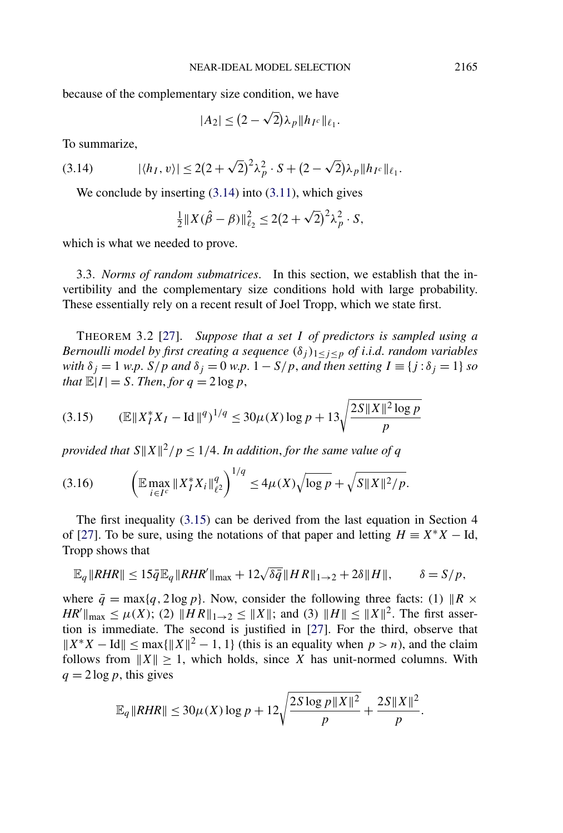<span id="page-20-0"></span>because of the complementary size condition, we have

$$
|A_2| \le (2 - \sqrt{2})\lambda_p \|h_{I^c}\|_{\ell_1}.
$$

To summarize,

(3.14) 
$$
|\langle h_I, v \rangle| \leq 2(2+\sqrt{2})^2\lambda_p^2 \cdot S + (2-\sqrt{2})\lambda_p \|h_{I^c}\|_{\ell_1}.
$$

We conclude by inserting  $(3.14)$  into  $(3.11)$ , which gives

$$
\frac{1}{2}||X(\hat{\beta} - \beta)||_{\ell_2}^2 \le 2(2 + \sqrt{2})^2 \lambda_p^2 \cdot S,
$$

which is what we needed to prove.

3.3. *Norms of random submatrices*. In this section, we establish that the invertibility and the complementary size conditions hold with large probability. These essentially rely on a recent result of Joel Tropp, which we state first.

THEOREM 3.2 [\[27\]](#page-32-0). *Suppose that a set I of predictors is sampled using a Bernoulli model by first creating a sequence*  $(\delta_i)_{1 \leq i \leq p}$  *of i.i.d. random variables with*  $\delta_i = 1$  *w.p.*  $S/p$  *and*  $\delta_i = 0$  *w.p.*  $1 - S/p$ *, and then setting*  $I \equiv \{j : \delta_j = 1\}$  *so that*  $\mathbb{E}|I| = S$ . *Then, for*  $q = 2 \log p$ ,

$$
(3.15) \qquad (\mathbb{E} \|X_I^* X_I - \text{Id}\|^q)^{1/q} \le 30\mu(X) \log p + 13 \sqrt{\frac{2S \|X\|^2 \log p}{p}}
$$

*provided that*  $S||X||^2/p \leq 1/4$ . *In addition, for the same value of q* 

$$
(3.16)\qquad \left(\mathbb{E}\max_{i\in I^c} \|X_I^*X_i\|_{\ell^2}^q\right)^{1/q} \le 4\mu(X)\sqrt{\log p} + \sqrt{S\|X\|^2/p}.
$$

The first inequality (3.15) can be derived from the last equation in Section 4 of [\[27\]](#page-32-0). To be sure, using the notations of that paper and letting  $H = X^*X - Id$ , Tropp shows that

$$
\mathbb{E}_q \|\mathit{RHR}\| \leq 15\bar{q}\mathbb{E}_q \|\mathit{RHR}'\|_{\max} + 12\sqrt{\delta\bar{q}}\|H\mathit{R}\|_{1\to 2} + 2\delta\|\mathit{H}\|, \qquad \delta = S/p,
$$

where  $\bar{q} = \max\{q, 2\log p\}$ . Now, consider the following three facts: (1)  $\|R \times$  $HR''\|_{\text{max}} \leq \mu(X)$ ; (2)  $\|HR\|_{1\to 2} \leq \|X\|$ ; and (3)  $\|H\| \leq \|X\|^2$ . The first assertion is immediate. The second is justified in [\[27\]](#page-32-0). For the third, observe that  $||X^*X - Id|| \leq \max{||X||^2 - 1}$ , 1} (this is an equality when *p > n*), and the claim follows from  $||X|| \ge 1$ , which holds, since *X* has unit-normed columns. With  $q = 2 \log p$ , this gives

$$
\mathbb{E}_{q} \|RHR\| \leq 30\mu(X) \log p + 12\sqrt{\frac{2S\log p \|X\|^2}{p}} + \frac{2S\|X\|^2}{p}.
$$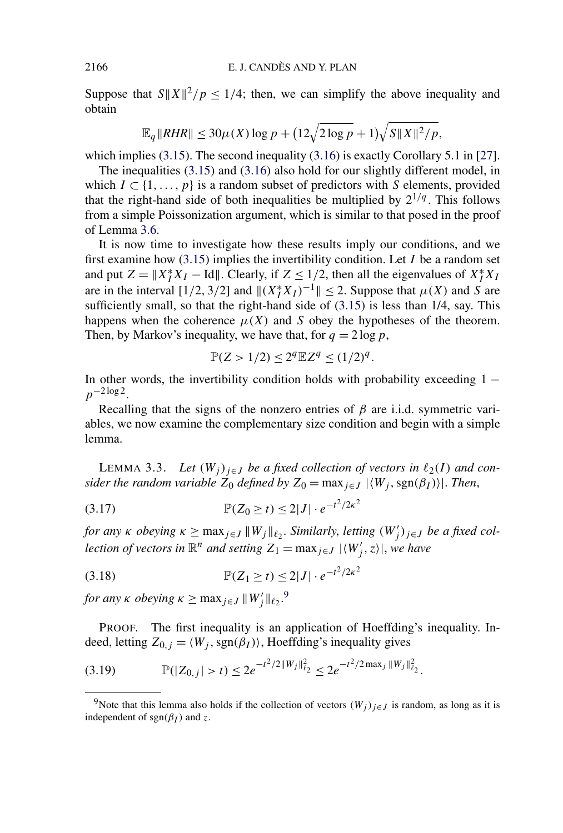<span id="page-21-0"></span>Suppose that  $S||X||^2/p \le 1/4$ ; then, we can simplify the above inequality and obtain

$$
\mathbb{E}_{q} \|RHR\| \leq 30\mu(X) \log p + (12\sqrt{2\log p} + 1)\sqrt{S\|X\|^{2}/p},
$$

which implies [\(3.15\)](#page-20-0). The second inequality [\(3.16\)](#page-20-0) is exactly Corollary 5.1 in [\[27\]](#page-32-0).

The inequalities [\(3.15\)](#page-20-0) and [\(3.16\)](#page-20-0) also hold for our slightly different model, in which  $I \subset \{1, \ldots, p\}$  is a random subset of predictors with *S* elements, provided that the right-hand side of both inequalities be multiplied by  $2^{1/q}$ . This follows from a simple Poissonization argument, which is similar to that posed in the proof of Lemma [3.6.](#page-27-0)

It is now time to investigate how these results imply our conditions, and we first examine how [\(3.15\)](#page-20-0) implies the invertibility condition. Let *I* be a random set and put  $Z = ||X_I^* X_I - \text{Id}||$ . Clearly, if  $Z \le 1/2$ , then all the eigenvalues of  $X_I^* X_I$ are in the interval  $[1/2, 3/2]$  and  $||(X_I^*X_I)^{-1}|| \leq 2$ . Suppose that  $\mu(X)$  and *S* are sufficiently small, so that the right-hand side of  $(3.15)$  is less than 1/4, say. This happens when the coherence  $\mu(X)$  and *S* obey the hypotheses of the theorem. Then, by Markov's inequality, we have that, for  $q = 2 \log p$ ,

$$
\mathbb{P}(Z > 1/2) \le 2^q \mathbb{E} Z^q \le (1/2)^q.
$$

In other words, the invertibility condition holds with probability exceeding  $1$ *p*<sup>−2 log 2.</sup>

Recalling that the signs of the nonzero entries of  $\beta$  are i.i.d. symmetric variables, we now examine the complementary size condition and begin with a simple lemma.

LEMMA 3.3. *Let*  $(W_j)_{j \in J}$  *be a fixed collection of vectors in*  $\ell_2(I)$  *and consider the random variable*  $Z_0$  *defined by*  $Z_0 = \max_{j \in J} |\langle W_j, \text{sgn}(\beta_I) \rangle|$ . *Then,* 

<sup>P</sup>*(Z*<sup>0</sup> <sup>≥</sup> *t)* <sup>≤</sup> <sup>2</sup>|*<sup>J</sup>* | · *<sup>e</sup>*−*t*2*/*2*κ*<sup>2</sup> (3.17)

*for any κ obeying*  $\kappa \ge \max_{j \in J} ||W_j||_{\ell_2}$ . *Similarly, letting*  $(W'_j)_{j \in J}$  *be a fixed collection of vectors in*  $\mathbb{R}^n$  *and setting*  $Z_1 = \max_{j \in J} |\langle W'_j, z \rangle|$ , we have

(3.18) 
$$
\mathbb{P}(Z_1 \ge t) \le 2|J| \cdot e^{-t^2/2\kappa^2}
$$

*for any*  $\kappa$  *obeying*  $\kappa \ge \max_{j \in J} ||W'_j||_{\ell_2}$ .<sup>9</sup>

PROOF. The first inequality is an application of Hoeffding's inequality. Indeed, letting  $Z_{0,j} = \langle W_j, \text{sgn}(\beta_I) \rangle$ , Hoeffding's inequality gives

$$
(3.19) \t\t\t\t\t\mathbb{P}(|Z_{0,j}|>t) \leq 2e^{-t^2/2||W_j||_{\ell_2}^2} \leq 2e^{-t^2/2\max_j||W_j||_{\ell_2}^2}.
$$

<sup>&</sup>lt;sup>9</sup>Note that this lemma also holds if the collection of vectors  $(W_i)_{i \in J}$  is random, as long as it is independent of  $sgn(\beta_I)$  and *z*.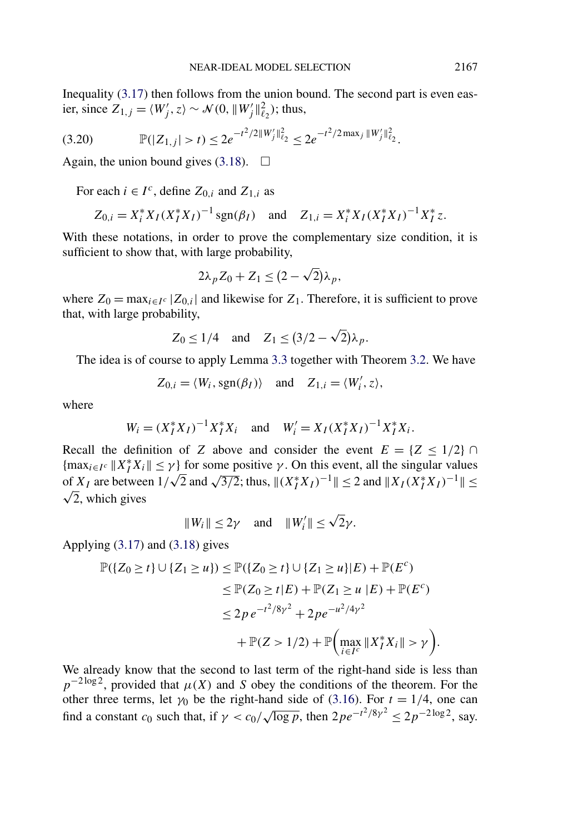Inequality [\(3.17\)](#page-21-0) then follows from the union bound. The second part is even easier, since  $Z_{1,j} = \langle W'_j, z \rangle \sim \mathcal{N}(0, \|W'_j\|_{\ell_2}^2)$ ; thus,

P*(*|*Z*1*,j* | *>t)* ≤ 2*e* −*t*2*/*2*W j* 2 <sup>2</sup> ≤ 2*e* −*t*2*/*2 max*<sup>j</sup> W j* 2 (3.20) <sup>2</sup> *.*

Again, the union bound gives [\(3.18\)](#page-21-0).  $\Box$ 

For each  $i \in I^c$ , define  $Z_{0,i}$  and  $Z_{1,i}$  as

$$
Z_{0,i} = X_i^* X_I (X_I^* X_I)^{-1} \text{sgn}(\beta_I)
$$
 and  $Z_{1,i} = X_i^* X_I (X_I^* X_I)^{-1} X_I^* z$ .

With these notations, in order to prove the complementary size condition, it is sufficient to show that, with large probability,

$$
2\lambda_p Z_0 + Z_1 \leq (2 - \sqrt{2})\lambda_p,
$$

where  $Z_0 = \max_{i \in I^c} |Z_{0,i}|$  and likewise for  $Z_1$ . Therefore, it is sufficient to prove that, with large probability,

$$
Z_0 \le 1/4 \quad \text{and} \quad Z_1 \le (3/2 - \sqrt{2})\lambda_p.
$$

The idea is of course to apply Lemma [3.3](#page-21-0) together with Theorem [3.2.](#page-20-0) We have

$$
Z_{0,i} = \langle W_i, \text{sgn}(\beta_I) \rangle \quad \text{and} \quad Z_{1,i} = \langle W'_i, z \rangle,
$$

where

$$
W_i = (X_I^* X_I)^{-1} X_I^* X_i \quad \text{and} \quad W_i' = X_I (X_I^* X_I)^{-1} X_I^* X_i.
$$

Recall the definition of *Z* above and consider the event  $E = \{Z \leq 1/2\} \cap$  ${\max_{i \in I^c} \|X_I^* X_i\| \leq \gamma}$  for some positive  $\gamma$ . On this event, all the singular values of  $X_I$  are between  $1/\sqrt{2}$  and  $\sqrt{3/2}$ ; thus,  $\|(X_I^*X_I)^{-1}\| \le 2$  and  $\|X_I(X_I^*X_I)^{-1}\| \le$  $\sqrt{2}$ , which gives

$$
||W_i|| \le 2\gamma
$$
 and  $||W'_i|| \le \sqrt{2}\gamma$ .

Applying [\(3.17\)](#page-21-0) and [\(3.18\)](#page-21-0) gives

$$
\mathbb{P}(\{Z_0 \ge t\} \cup \{Z_1 \ge u\}) \le \mathbb{P}(\{Z_0 \ge t\} \cup \{Z_1 \ge u\}|E) + \mathbb{P}(E^c) \n\le \mathbb{P}(Z_0 \ge t|E) + \mathbb{P}(Z_1 \ge u|E) + \mathbb{P}(E^c) \n\le 2p e^{-t^2/8\gamma^2} + 2p e^{-u^2/4\gamma^2} \n+ \mathbb{P}(Z > 1/2) + \mathbb{P}\left(\max_{i \in I^c} ||X_I^* X_i|| > \gamma\right)
$$

We already know that the second to last term of the right-hand side is less than  $p^{-2 \log 2}$ , provided that  $\mu(X)$  and *S* obey the conditions of the theorem. For the other three terms, let  $\gamma_0$  be the right-hand side of [\(3.16\)](#page-20-0). For  $t = 1/4$ , one can find a constant *c*<sub>0</sub> such that, if  $\gamma < c_0 / \sqrt{\log p}$ , then  $2pe^{-t^2/8\gamma^2} \le 2p^{-2\log 2}$ , say.

*.*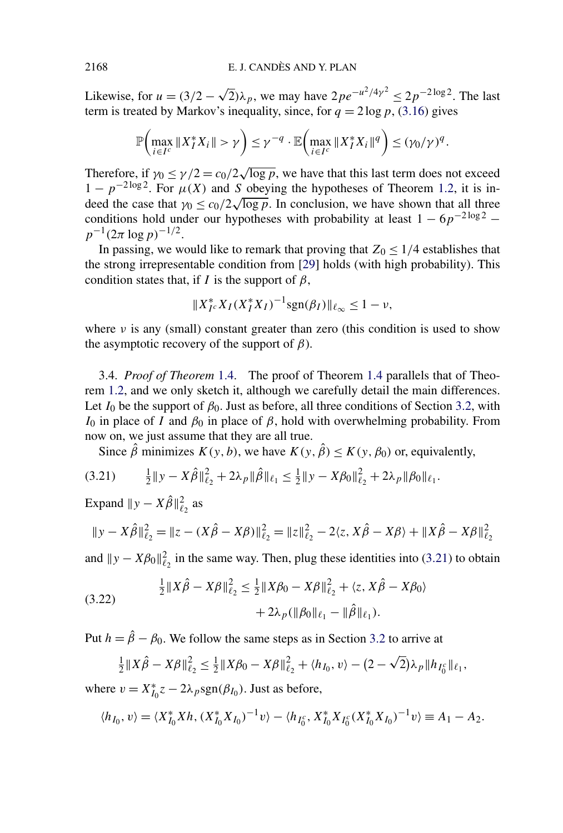Likewise, for  $u = (3/2 - \sqrt{2})\lambda_p$ , we may have  $2pe^{-u^2/4\gamma^2} \le 2p^{-2\log 2}$ . The last term is treated by Markov's inequality, since, for  $q = 2 \log p$ , [\(3.16\)](#page-20-0) gives

$$
\mathbb{P}\bigg(\max_{i\in I^c} \|X_I^*X_i\| > \gamma\bigg) \leq \gamma^{-q} \cdot \mathbb{E}\bigg(\max_{i\in I^c} \|X_I^*X_i\|^q\bigg) \leq (\gamma_0/\gamma)^q.
$$

Therefore, if  $\gamma_0 \le \gamma/2 = c_0/2 \sqrt{\log p}$ , we have that this last term does not exceed  $1 - p^{-2 \log 2}$ . For  $\mu(X)$  and *S* obeying the hypotheses of Theorem [1.2,](#page-3-0) it is in- $\mu(x)$  and *s* obeying the hypotheses of Theorem 1.2, it is indeed the case that  $\gamma_0 \leq c_0/2\sqrt{\log p}$ . In conclusion, we have shown that all three conditions hold under our hypotheses with probability at least  $1 - 6p^{-2 \log 2}$  −  $p^{-1}(2\pi \log p)^{-1/2}$ .

In passing, we would like to remark that proving that  $Z_0 \leq 1/4$  establishes that the strong irrepresentable condition from [\[29\]](#page-32-0) holds (with high probability). This condition states that, if *I* is the support of  $\beta$ ,

$$
||X_{I^c}^* X_I (X_I^* X_I)^{-1} \text{sgn}(\beta_I) ||_{\ell_\infty} \le 1 - \nu,
$$

where  $\nu$  is any (small) constant greater than zero (this condition is used to show the asymptotic recovery of the support of *β*).

3.4. *Proof of Theorem* [1.4.](#page-9-0) The proof of Theorem [1.4](#page-9-0) parallels that of Theorem [1.2,](#page-3-0) and we only sketch it, although we carefully detail the main differences. Let  $I_0$  be the support of  $\beta_0$ . Just as before, all three conditions of Section [3.2,](#page-18-0) with *I*<sub>0</sub> in place of *I* and  $β$ <sub>0</sub> in place of  $β$ , hold with overwhelming probability. From now on, we just assume that they are all true.

Since  $\hat{\beta}$  minimizes  $K(y, b)$ , we have  $K(y, \hat{\beta}) \le K(y, \beta_0)$  or, equivalently,

$$
(3.21) \qquad \frac{1}{2} \|y - X\hat{\beta}\|_{\ell_2}^2 + 2\lambda_p \|\hat{\beta}\|_{\ell_1} \le \frac{1}{2} \|y - X\beta_0\|_{\ell_2}^2 + 2\lambda_p \|\beta_0\|_{\ell_1}.
$$

Expand  $||y - X\hat{\beta}||_{\ell_2}^2$  as

$$
\|y - X\hat{\beta}\|_{\ell_2}^2 = \|z - (X\hat{\beta} - X\beta)\|_{\ell_2}^2 = \|z\|_{\ell_2}^2 - 2\langle z, X\hat{\beta} - X\beta\rangle + \|X\hat{\beta} - X\beta\|_{\ell_2}^2
$$

and  $\|y - X\beta_0\|_{\ell_2}^2$  in the same way. Then, plug these identities into (3.21) to obtain

(3.22) 
$$
\frac{1}{2}||X\hat{\beta} - X\beta||_{\ell_2}^2 \le \frac{1}{2}||X\beta_0 - X\beta||_{\ell_2}^2 + \langle z, X\hat{\beta} - X\beta_0 \rangle + 2\lambda_p(||\beta_0||_{\ell_1} - ||\hat{\beta}||_{\ell_1}).
$$

Put  $h = \hat{\beta} - \beta_0$ . We follow the same steps as in Section [3.2](#page-18-0) to arrive at

$$
\frac{1}{2}||X\hat{\beta}-X\beta||_{\ell_2}^2 \leq \frac{1}{2}||X\beta_0-X\beta||_{\ell_2}^2 + \langle h_{I_0}, v \rangle - (2-\sqrt{2})\lambda_p||h_{I_0^c}||_{\ell_1},
$$

where  $v = X_{I_0}^* z - 2\lambda_p \text{sgn}(\beta_{I_0})$ . Just as before,

$$
\langle h_{I_0}, v \rangle = \langle X_{I_0}^* X h, (X_{I_0}^* X_{I_0})^{-1} v \rangle - \langle h_{I_0^c}, X_{I_0}^* X_{I_0^c} (X_{I_0}^* X_{I_0})^{-1} v \rangle \equiv A_1 - A_2.
$$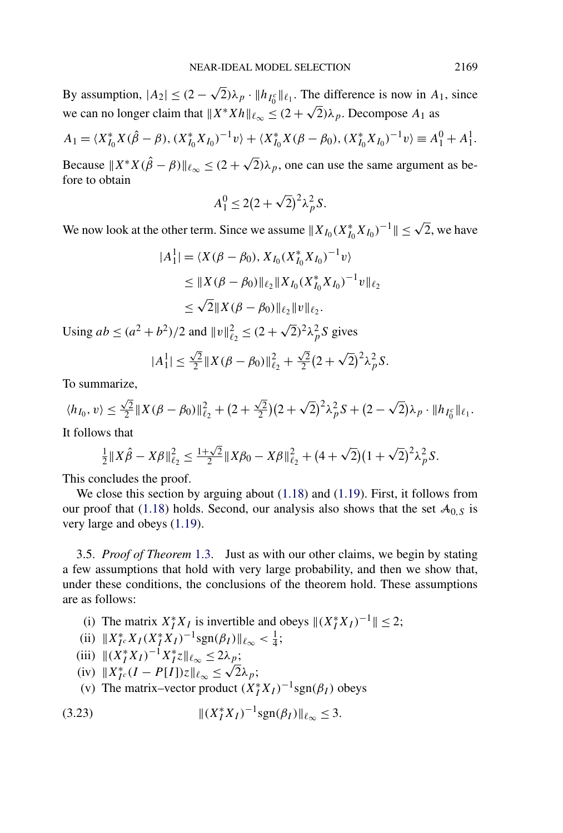<span id="page-24-0"></span>By assumption,  $|A_2| \le (2 - \sqrt{2})\lambda_p \cdot ||h_{I_0^c}||_{\ell_1}$ . The difference is now in  $A_1$ , since we can no longer claim that  $||X^*Xh||_{\ell_{\infty}} \leq (2+\sqrt{2})\lambda_p$ . Decompose  $A_1$  as

$$
A_1 = \langle X_{I_0}^* X(\hat{\beta} - \beta), (X_{I_0}^* X_{I_0})^{-1} v \rangle + \langle X_{I_0}^* X(\beta - \beta_0), (X_{I_0}^* X_{I_0})^{-1} v \rangle \equiv A_1^0 + A_1^1.
$$

Because  $X^*X(\hat{\beta} - \beta)\|_{\ell_\infty} \leq (2 + \sqrt{2})\lambda_p$ , one can use the same argument as before to obtain

$$
A_1^0 \le 2(2+\sqrt{2})^2 \lambda_p^2 S.
$$

We now look at the other term. Since we assume  $||X_{I_0}(X_{I_0}^* X_{I_0})^{-1}|| \leq \sqrt{2}$ , we have

$$
|A_1^1| = \langle X(\beta - \beta_0), X_{I_0}(X_{I_0}^* X_{I_0})^{-1} v \rangle
$$
  
\n
$$
\leq \|X(\beta - \beta_0)\|_{\ell_2} \|X_{I_0}(X_{I_0}^* X_{I_0})^{-1} v\|_{\ell_2}
$$
  
\n
$$
\leq \sqrt{2} \|X(\beta - \beta_0)\|_{\ell_2} \|v\|_{\ell_2}.
$$

Using  $ab \le (a^2 + b^2)/2$  and  $||v||_{\ell_2}^2 \le (2 + \sqrt{2})^2 \lambda_p^2 S$  gives

$$
|A_1^1| \leq \frac{\sqrt{2}}{2} \|X(\beta - \beta_0)\|_{\ell_2}^2 + \frac{\sqrt{2}}{2} (2 + \sqrt{2})^2 \lambda_p^2 S.
$$

To summarize,

$$
\langle h_{I_0}, v \rangle \leq \frac{\sqrt{2}}{2} \| X(\beta - \beta_0) \|_{\ell_2}^2 + (2 + \frac{\sqrt{2}}{2}) (2 + \sqrt{2})^2 \lambda_p^2 S + (2 - \sqrt{2}) \lambda_p \cdot \| h_{I_0^c} \|_{\ell_1}.
$$
  
It follows that

It follows that

$$
\frac{1}{2}||X\hat{\beta}-X\beta||_{\ell_2}^2 \le \frac{1+\sqrt{2}}{2}||X\beta_0-X\beta||_{\ell_2}^2 + (4+\sqrt{2})(1+\sqrt{2})^2\lambda_p^2S.
$$

This concludes the proof.

We close this section by arguing about  $(1.18)$  and  $(1.19)$ . First, it follows from our proof that [\(1.18\)](#page-10-0) holds. Second, our analysis also shows that the set  $A_{0,S}$  is very large and obeys [\(1.19\)](#page-10-0).

3.5. *Proof of Theorem* [1.3.](#page-5-0) Just as with our other claims, we begin by stating a few assumptions that hold with very large probability, and then we show that, under these conditions, the conclusions of the theorem hold. These assumptions are as follows:

- (i) The matrix  $X_I^* X_I$  is invertible and obeys  $||(X_I^* X_I)^{-1}|| \leq 2$ ;
- (ii)  $||X_{I^c}^* X_I (X_I^* X_I)^{-1} \text{sgn}(\beta_I) ||_{\ell_\infty} < \frac{1}{4};$
- $(iii)$   $\|(X_I^* X_I)^{-1} X_I^* z\|_{\ell_\infty} \leq 2\lambda_p;$
- (iv)  $||X_{I}^{*}(I P[I])z||_{\ell_{\infty}} \le \sqrt{2\lambda_{p}};$ <br>(iv)  $||X_{I}^{*}(I P[I])z||_{\ell_{\infty}} \le \sqrt{2\lambda_{p}};$
- (v) The matrix–vector product  $(X_I^* X_I)^{-1}$ sgn $(\beta_I)$  obeys

(3.23) 
$$
\|(X_I^* X_I)^{-1} \text{sgn}(\beta_I)\|_{\ell_\infty} \leq 3.
$$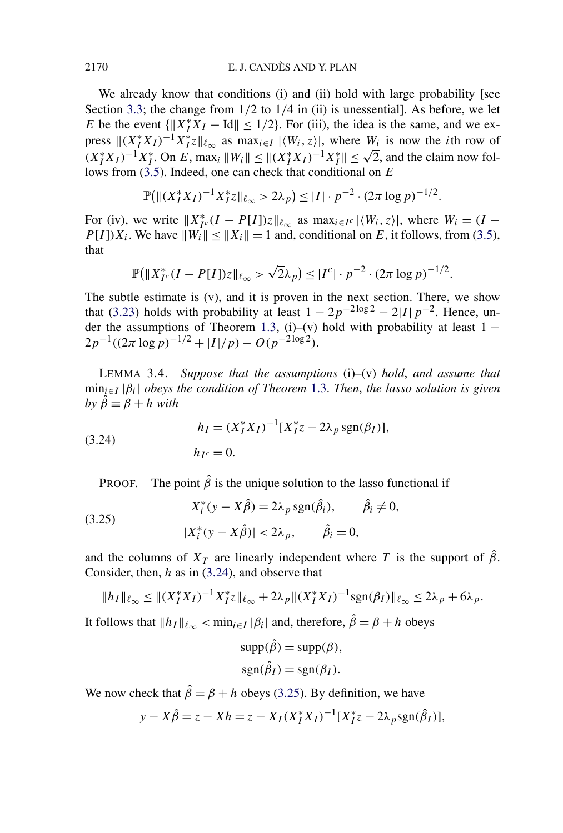<span id="page-25-0"></span>We already know that conditions (i) and (ii) hold with large probability [see Section [3.3;](#page-20-0) the change from 1*/*2 to 1*/*4 in (ii) is unessential]. As before, we let *E* be the event  $\{||X_I^*X_I - Id|| \le 1/2\}$ . For (iii), the idea is the same, and we express  $\|(X_I^*X_I)^{-1}X_I^*z\|_{\ell_\infty}$  as  $\max_{i\in I} |\langle W_i, z\rangle|$ , where  $W_i$  is now the *i*th row of *(X*<sup>\*</sup><sub>*I*</sub> *X*<sub>*I*</sub> *)*<sup>−1</sup>*X*<sup>\*</sup><sub>*I*</sub>. On *E*, max<sub>*i*</sub>  $||W_i|| \le ||(X_i^*X_I)^{-1}X_I^*|| \le \sqrt{2}$ , and the claim now follows from [\(3.5\)](#page-17-0). Indeed, one can check that conditional on *E*

$$
\mathbb{P}(\|(X_I^* X_I)^{-1} X_I^* z\|_{\ell_\infty} > 2\lambda_p) \leq |I| \cdot p^{-2} \cdot (2\pi \log p)^{-1/2}.
$$

For (iv), we write  $||X_{I^c}^*(I - P[I])z||_{\ell_\infty}$  as  $\max_{i \in I^c} |\langle W_i, z \rangle|$ , where  $W_i = (I - P[I])z||_{\ell_\infty}$ *P*[*I*])*X<sub>i</sub>*. We have  $||W_i|| \le ||X_i|| = 1$  and, conditional on *E*, it follows, from [\(3.5\)](#page-17-0), that

$$
\mathbb{P}(|X_{I^c}^*(I - P[I])z||_{\ell_\infty} > \sqrt{2}\lambda_p) \leq |I^c| \cdot p^{-2} \cdot (2\pi \log p)^{-1/2}.
$$

The subtle estimate is (v), and it is proven in the next section. There, we show that [\(3.23\)](#page-24-0) holds with probability at least  $1 - 2p^{-2\log 2} - 2|I|p^{-2}$ . Hence, un-der the assumptions of Theorem [1.3,](#page-5-0) (i)–(v) hold with probability at least  $1 2p^{-1}((2\pi \log p)^{-1/2} + |I|/p) - O(p^{-2 \log 2}).$ 

LEMMA 3.4. *Suppose that the assumptions* (i)–(v) *hold*, *and assume that* min*i*∈*<sup>I</sup>* |*βi*| *obeys the condition of Theorem* [1.3.](#page-5-0) *Then*, *the lasso solution is given*  $b\nu \hat{\beta} \equiv \beta + h$  *with* 

(3.24) 
$$
h_I = (X_I^* X_I)^{-1} [X_I^* z - 2\lambda_p \operatorname{sgn}(\beta_I)],
$$

$$
h_{I^c} = 0.
$$

PROOF. The point  $\hat{\beta}$  is the unique solution to the lasso functional if

(3.25) 
$$
X_i^*(y - X\hat{\beta}) = 2\lambda_p \operatorname{sgn}(\hat{\beta}_i), \qquad \hat{\beta}_i \neq 0,
$$

$$
|X_i^*(y - X\hat{\beta})| < 2\lambda_p, \qquad \hat{\beta}_i = 0,
$$

and the columns of  $X_T$  are linearly independent where *T* is the support of  $\hat{\beta}$ . Consider, then, *h* as in (3.24), and observe that

$$
||h_I||_{\ell_{\infty}} \leq ||(X_I^* X_I)^{-1} X_I^* z||_{\ell_{\infty}} + 2\lambda_p ||(X_I^* X_I)^{-1} \text{sgn}(\beta_I)||_{\ell_{\infty}} \leq 2\lambda_p + 6\lambda_p.
$$

It follows that  $||h_I||_{\ell_\infty} < \min_{i \in I} |\beta_i|$  and, therefore,  $\hat{\beta} = \beta + h$  obeys

$$
supp(\hat{\beta}) = supp(\beta),
$$
  
sgn( $\hat{\beta}_I$ ) = sgn( $\beta_I$ ).

We now check that  $\hat{\beta} = \beta + h$  obeys (3.25). By definition, we have

$$
y - X\hat{\beta} = z - Xh = z - X_I(X_I^*X_I)^{-1}[X_I^*z - 2\lambda_p sgn(\hat{\beta}_I)],
$$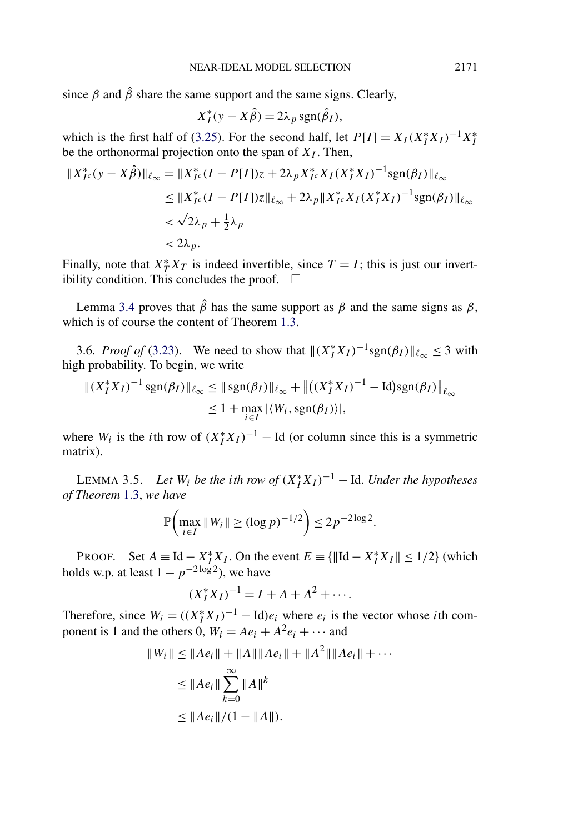<span id="page-26-0"></span>since  $\beta$  and  $\hat{\beta}$  share the same support and the same signs. Clearly,

$$
X_I^*(y - X\hat{\beta}) = 2\lambda_p \operatorname{sgn}(\hat{\beta}_I),
$$

which is the first half of [\(3.25\)](#page-25-0). For the second half, let  $P[I] = X_I (X_I^* X_I)^{-1} X_I^*$ be the orthonormal projection onto the span of  $X_I$ . Then,

$$
\begin{aligned} \|X_{I^c}^*(y - X\hat{\beta})\|_{\ell_\infty} &= \|X_{I^c}^*(I - P[I])z + 2\lambda_p X_{I^c}^* X_I (X_I^* X_I)^{-1} \text{sgn}(\beta_I)\|_{\ell_\infty} \\ &\le \|X_{I^c}^*(I - P[I])z\|_{\ell_\infty} + 2\lambda_p \|X_{I^c}^* X_I (X_I^* X_I)^{-1} \text{sgn}(\beta_I)\|_{\ell_\infty} \\ &< \sqrt{2}\lambda_p + \frac{1}{2}\lambda_p \\ &< 2\lambda_p. \end{aligned}
$$

Finally, note that  $X_T^* X_T$  is indeed invertible, since  $T = I$ ; this is just our invertibility condition. This concludes the proof.  $\Box$ 

Lemma [3.4](#page-25-0) proves that  $\hat{\beta}$  has the same support as *β* and the same signs as *β*, which is of course the content of Theorem [1.3.](#page-5-0)

3.6. *Proof of* [\(3.23\)](#page-24-0). We need to show that  $\|(X_I^* X_I)^{-1} \text{sgn}(\beta_I)\|_{\ell_\infty} \leq 3$  with high probability. To begin, we write

$$
||(X_I^* X_I)^{-1} \operatorname{sgn}(\beta_I) ||_{\ell_\infty} \le ||\operatorname{sgn}(\beta_I) ||_{\ell_\infty} + ||((X_I^* X_I)^{-1} - \operatorname{Id}) \operatorname{sgn}(\beta_I) ||_{\ell_\infty}
$$
  
 
$$
\le 1 + \max_{i \in I} |\langle W_i, \operatorname{sgn}(\beta_I) \rangle|,
$$

where  $W_i$  is the *i*th row of  $(X_I^*X_I)^{-1}$  – Id (or column since this is a symmetric matrix).

LEMMA 3.5. *Let*  $W_i$  *be the ith row of*  $(X_I^*X_I)^{-1}$  – Id. *Under the hypotheses of Theorem* [1.3,](#page-5-0) *we have*

$$
\mathbb{P}\left(\max_{i\in I} \|W_i\| \geq (\log p)^{-1/2}\right) \leq 2p^{-2\log 2}.
$$

PROOF. Set  $A \equiv \text{Id} - X_I^* X_I$ . On the event  $E \equiv {\{\| \text{Id} - X_I^* X_I \| \leq 1/2\}}$  (which holds w.p. at least  $1 - p^{-2 \log 2}$ ), we have

$$
(X_I^* X_I)^{-1} = I + A + A^2 + \cdots
$$

Therefore, since  $W_i = ((X_i^* X_I)^{-1} - \text{Id})e_i$  where  $e_i$  is the vector whose *i*th component is 1 and the others 0,  $W_i = Ae_i + A^2e_i + \cdots$  and

$$
||W_i|| \le ||Ae_i|| + ||A|| ||Ae_i|| + ||A^2|| ||Ae_i|| + \cdots
$$
  
\n
$$
\le ||Ae_i|| \sum_{k=0}^{\infty} ||A||^k
$$
  
\n
$$
\le ||Ae_i||/(1 - ||A||).
$$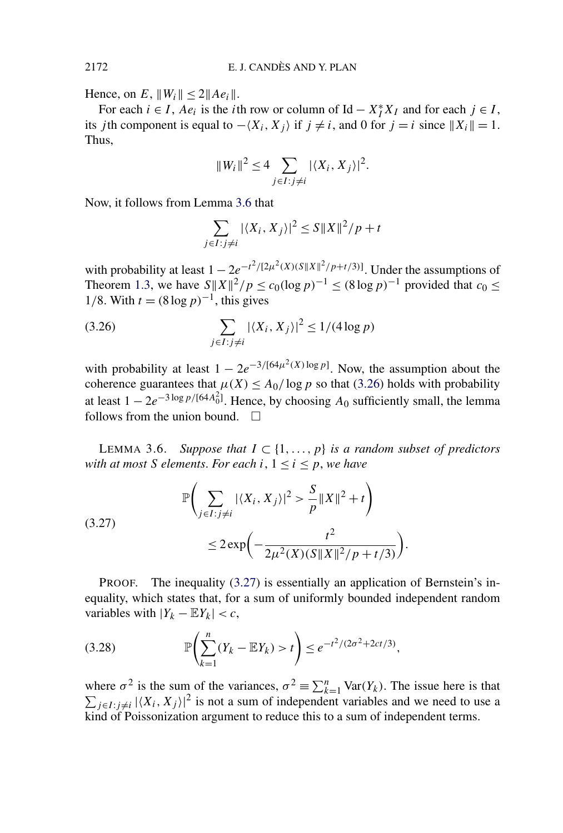Hence, on *E*,  $||W_i|| \le 2||Ae_i||$ .

For each  $i \in I$ ,  $Ae_i$  is the *i*th row or column of Id  $-X_I^*X_I$  and for each  $j \in I$ , its *j*th component is equal to  $-\langle X_i, X_j \rangle$  if  $j \neq i$ , and 0 for  $j = i$  since  $||X_i|| = 1$ . Thus,

$$
||W_i||^2 \le 4 \sum_{j \in I : j \ne i} |\langle X_i, X_j \rangle|^2.
$$

Now, it follows from Lemma 3.6 that

$$
\sum_{j \in I : j \neq i} |\langle X_i, X_j \rangle|^2 \le S \|X\|^2 / p + t
$$

with probability at least  $1 - 2e^{-t^2/(2\mu^2(X)(S||X||^2/p + t/3))}$ . Under the assumptions of Theorem [1.3,](#page-5-0) we have  $S||X||^2/p \le c_0(\log p)^{-1} \le (8 \log p)^{-1}$  provided that  $c_0 \le$ 1/8. With  $t = (8 \log p)^{-1}$ , this gives

(3.26) 
$$
\sum_{j \in I : j \neq i} |\langle X_i, X_j \rangle|^2 \le 1/(4 \log p)
$$

with probability at least  $1 - 2e^{-3/[64\mu^2(X) \log p]}$ . Now, the assumption about the coherence guarantees that  $\mu(X) \leq A_0 / \log p$  so that (3.26) holds with probability at least  $1 - 2e^{-3\log p/[64A_0^2]}$ . Hence, by choosing  $A_0$  sufficiently small, the lemma follows from the union bound.  $\Box$ 

LEMMA 3.6. *Suppose that*  $I \subset \{1, \ldots, p\}$  *is a random subset of predictors with at most S elements. For each*  $i, 1 \leq i \leq p$ , *we have* 

(3.27) 
$$
\mathbb{P}\left(\sum_{j\in I:j\neq i} |\langle X_i, X_j \rangle|^2 > \frac{S}{p} ||X||^2 + t\right) \le 2 \exp\left(-\frac{t^2}{2\mu^2(X)(S||X||^2/p + t/3)}\right).
$$

PROOF. The inequality (3.27) is essentially an application of Bernstein's inequality, which states that, for a sum of uniformly bounded independent random variables with  $|Y_k - \mathbb{E}Y_k| < c$ ,

(3.28) 
$$
\mathbb{P}\left(\sum_{k=1}^{n}(Y_k - \mathbb{E}Y_k) > t\right) \leq e^{-t^2/(2\sigma^2 + 2ct/3)},
$$

where  $\sigma^2$  is the sum of the variances,  $\sigma^2 \equiv \sum_{k=1}^n \text{Var}(Y_k)$ . The issue here is that  $\sum_{j\in I: j\neq i} |\langle X_i, X_j \rangle|^2$  is not a sum of independent variables and we need to use a kind of Poissonization argument to reduce this to a sum of independent terms.

<span id="page-27-0"></span>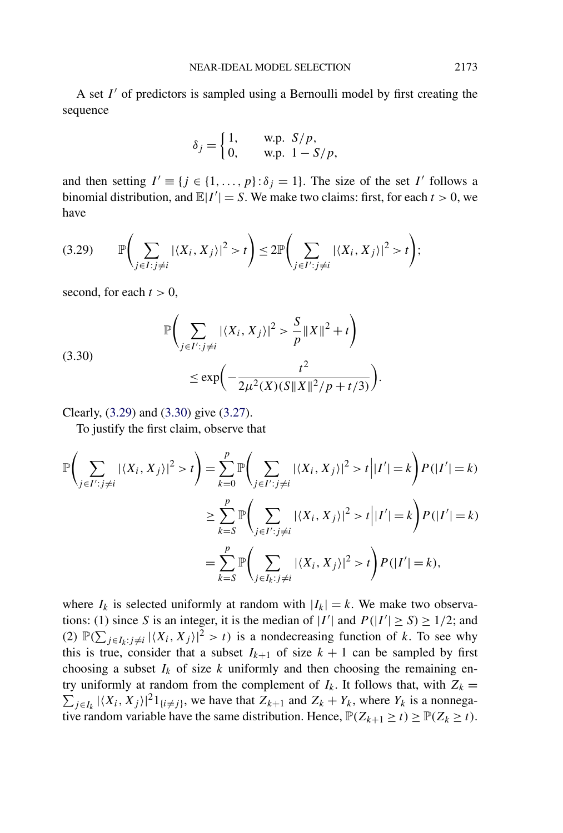<span id="page-28-0"></span>A set *I'* of predictors is sampled using a Bernoulli model by first creating the sequence

$$
\delta_j = \begin{cases} 1, & \text{w.p. } S/p, \\ 0, & \text{w.p. } 1 - S/p, \end{cases}
$$

and then setting  $I' \equiv \{j \in \{1, ..., p\} : \delta_j = 1\}$ . The size of the set *I'* follows a binomial distribution, and  $\mathbb{E}|I'| = S$ . We make two claims: first, for each  $t > 0$ , we have

$$
(3.29) \qquad \mathbb{P}\Biggl(\sum_{j\in I:j\neq i}|\langle X_i,X_j\rangle|^2>t\Biggr)\leq 2\mathbb{P}\Biggl(\sum_{j\in I':j\neq i}|\langle X_i,X_j\rangle|^2>t\Biggr);
$$

second, for each  $t > 0$ ,

(3.30)  

$$
\mathbb{P}\left(\sum_{j\in I':j\neq i}|\langle X_i, X_j\rangle|^2 > \frac{S}{p}||X||^2 + t\right)
$$

$$
\leq \exp\left(-\frac{t^2}{2\mu^2(X)(S||X||^2/p + t/3)}\right).
$$

Clearly, (3.29) and (3.30) give [\(3.27\)](#page-27-0).

To justify the first claim, observe that

$$
\mathbb{P}\left(\sum_{j\in I':j\neq i}|\langle X_i, X_j\rangle|^2 > t\right) = \sum_{k=0}^p \mathbb{P}\left(\sum_{j\in I':j\neq i}|\langle X_i, X_j\rangle|^2 > t\Big| |I'| = k\right) P(|I'| = k)
$$
  

$$
\geq \sum_{k=0}^p \mathbb{P}\left(\sum_{j\in I':j\neq i}|\langle X_i, X_j\rangle|^2 > t\Big| |I'| = k\right) P(|I'| = k)
$$
  

$$
= \sum_{k=0}^p \mathbb{P}\left(\sum_{j\in I_k: j\neq i}|\langle X_i, X_j\rangle|^2 > t\right) P(|I'| = k),
$$

where  $I_k$  is selected uniformly at random with  $|I_k| = k$ . We make two observations: (1) since *S* is an integer, it is the median of  $|I'|$  and  $P(|I'| \ge S) \ge 1/2$ ; and (2)  $\mathbb{P}(\sum_{j\in I_k: j\neq i} |\langle X_i, X_j \rangle|^2 > t)$  is a nondecreasing function of *k*. To see why this is true, consider that a subset  $I_{k+1}$  of size  $k+1$  can be sampled by first choosing a subset  $I_k$  of size  $k$  uniformly and then choosing the remaining entry uniformly at random from the complement of  $I_k$ . It follows that, with  $Z_k =$  $\sum_{j \in I_k} |\langle X_i, X_j \rangle|^2 1_{\{i \neq j\}}$ , we have that  $Z_{k+1}$  and  $Z_k + Y_k$ , where  $Y_k$  is a nonnegative random variable have the same distribution. Hence,  $\mathbb{P}(Z_{k+1} \ge t) \ge \mathbb{P}(Z_k \ge t)$ .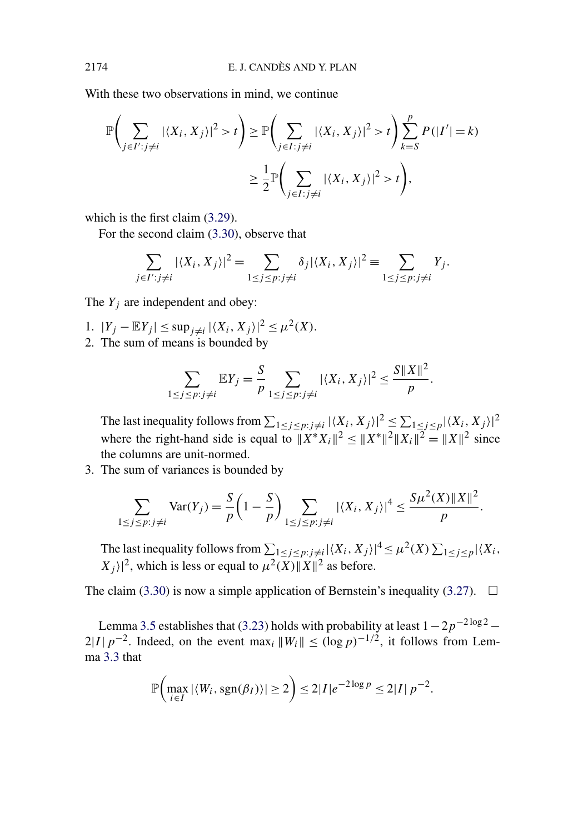With these two observations in mind, we continue

$$
\mathbb{P}\left(\sum_{j\in I':j\neq i}|\langle X_i, X_j\rangle|^2 > t\right) \geq \mathbb{P}\left(\sum_{j\in I:j\neq i}|\langle X_i, X_j\rangle|^2 > t\right) \sum_{k=S}^p P(|I'| = k)
$$

$$
\geq \frac{1}{2} \mathbb{P}\left(\sum_{j\in I:j\neq i}|\langle X_i, X_j\rangle|^2 > t\right),
$$

which is the first claim [\(3.29\)](#page-28-0).

For the second claim [\(3.30\)](#page-28-0), observe that

$$
\sum_{j\in I':j\neq i}|\langle X_i,X_j\rangle|^2=\sum_{1\leq j\leq p:j\neq i}\delta_j|\langle X_i,X_j\rangle|^2\equiv\sum_{1\leq j\leq p:j\neq i}Y_j.
$$

The  $Y_j$  are independent and obey:

- 1.  $|Y_j \mathbb{E}Y_j|$  ≤ sup<sub>j≠i</sub>  $|\langle X_i, X_j \rangle|^2$  ≤  $\mu^2(X)$ .
- 2. The sum of means is bounded by

$$
\sum_{1 \le j \le p: j \neq i} \mathbb{E}Y_j = \frac{S}{p} \sum_{1 \le j \le p: j \neq i} |\langle X_i, X_j \rangle|^2 \le \frac{S ||X||^2}{p}.
$$

The last inequality follows from  $\sum_{1 \le j \le p}$ : $j \ne i |\langle X_i, X_j \rangle|^2 \le \sum_{1 \le j \le p} |\langle X_i, X_j \rangle|^2$ where the right-hand side is equal to  $||X^*X_i||^2 \le ||X^*||^2 ||X_i||^2 = ||X||^2$  since the columns are unit-normed.

3. The sum of variances is bounded by

$$
\sum_{1 \le j \le p: j \ne i} \text{Var}(Y_j) = \frac{S}{p} \left( 1 - \frac{S}{p} \right) \sum_{1 \le j \le p: j \ne i} |\langle X_i, X_j \rangle|^4 \le \frac{S \mu^2(X) \|X\|^2}{p}.
$$

The last inequality follows from  $\sum_{1 \le j \le p}$ : $j \ne i |\langle X_i, X_j \rangle|^4 \le \mu^2(X) \sum_{1 \le j \le p} |\langle X_i, X_j \rangle|^4$  $|X_j\rangle|^2$ , which is less or equal to  $\mu^2(X) ||X||^2$  as before.

The claim [\(3.30\)](#page-28-0) is now a simple application of Bernstein's inequality [\(3.27\)](#page-27-0).  $\Box$ 

Lemma [3.5](#page-26-0) establishes that [\(3.23\)](#page-24-0) holds with probability at least  $1-2p^{-2\log 2}$  – 2|*I* |  $p^{-2}$ . Indeed, on the event max<sub>*i*</sub>  $||W_i||$  ≤  $(\log p)^{-1/2}$ , it follows from Lemma [3.3](#page-21-0) that

$$
\mathbb{P}\left(\max_{i\in I} |\langle W_i, \text{sgn}(\beta_I) \rangle| \geq 2\right) \leq 2|I|e^{-2\log p} \leq 2|I|p^{-2}.
$$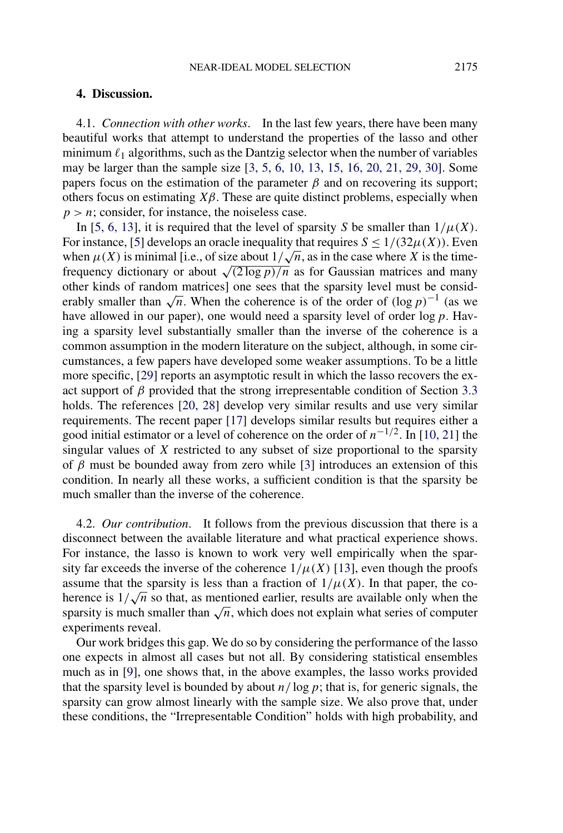## <span id="page-30-0"></span>**4. Discussion.**

4.1. *Connection with other works*. In the last few years, there have been many beautiful works that attempt to understand the properties of the lasso and other minimum  $\ell_1$  algorithms, such as the Dantzig selector when the number of variables may be larger than the sample size [\[3, 5, 6, 10, 13, 15, 16, 20, 21, 29, 30\]](#page-31-0). Some papers focus on the estimation of the parameter  $\beta$  and on recovering its support; others focus on estimating  $X\beta$ . These are quite distinct problems, especially when  $p > n$ ; consider, for instance, the noiseless case.

In [\[5, 6, 13\]](#page-31-0), it is required that the level of sparsity *S* be smaller than  $1/\mu(X)$ . For instance, [\[5\]](#page-31-0) develops an oracle inequality that requires  $S \leq 1/(32\mu(X))$ . Even For instance, [5] develops an oracle inequality that requires  $S \leq 1/(32\mu(X))$ . Even<br>when  $\mu(X)$  is minimal [i.e., of size about  $1/\sqrt{n}$ , as in the case where *X* is the timefrequency dictionary or about  $\sqrt{(2 \log p)/n}$  as for Gaussian matrices and many other kinds of random matrices] one sees that the sparsity level must be considerably smaller than  $\sqrt{n}$ . When the coherence is of the order of  $(\log p)^{-1}$  (as we have allowed in our paper), one would need a sparsity level of order log*p*. Having a sparsity level substantially smaller than the inverse of the coherence is a common assumption in the modern literature on the subject, although, in some circumstances, a few papers have developed some weaker assumptions. To be a little more specific, [\[29\]](#page-32-0) reports an asymptotic result in which the lasso recovers the exact support of  $\beta$  provided that the strong irrepresentable condition of Section [3.3](#page-20-0) holds. The references [\[20, 28\]](#page-32-0) develop very similar results and use very similar requirements. The recent paper [\[17\]](#page-32-0) develops similar results but requires either a good initial estimator or a level of coherence on the order of *n*−1*/*2. In [\[10, 21\]](#page-31-0) the singular values of *X* restricted to any subset of size proportional to the sparsity of  $\beta$  must be bounded away from zero while [\[3\]](#page-31-0) introduces an extension of this condition. In nearly all these works, a sufficient condition is that the sparsity be much smaller than the inverse of the coherence.

4.2. *Our contribution*. It follows from the previous discussion that there is a disconnect between the available literature and what practical experience shows. For instance, the lasso is known to work very well empirically when the sparsity far exceeds the inverse of the coherence  $1/\mu(X)$  [\[13\]](#page-32-0), even though the proofs assume that the sparsity is less than a fraction of  $1/\mu(X)$ . In that paper, the coassume that the sparsity is less than a fraction of  $1/\mu(x)$ . In that paper, the co-<br>herence is  $1/\sqrt{n}$  so that, as mentioned earlier, results are available only when the sparsity is much smaller than  $\sqrt{n}$ , which does not explain what series of computer experiments reveal.

Our work bridges this gap. We do so by considering the performance of the lasso one expects in almost all cases but not all. By considering statistical ensembles much as in [\[9\]](#page-31-0), one shows that, in the above examples, the lasso works provided that the sparsity level is bounded by about  $n/\log p$ ; that is, for generic signals, the sparsity can grow almost linearly with the sample size. We also prove that, under these conditions, the "Irrepresentable Condition" holds with high probability, and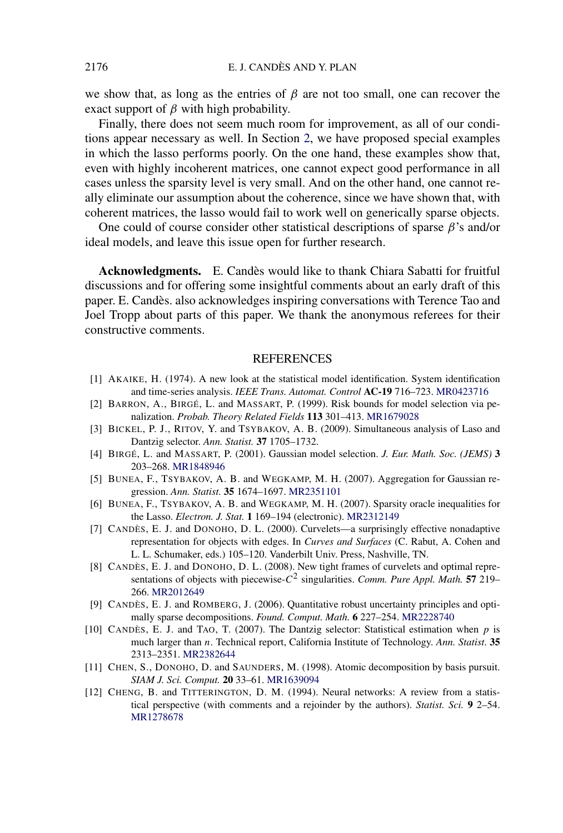<span id="page-31-0"></span>we show that, as long as the entries of *β* are not too small, one can recover the exact support of  $\beta$  with high probability.

Finally, there does not seem much room for improvement, as all of our conditions appear necessary as well. In Section [2,](#page-12-0) we have proposed special examples in which the lasso performs poorly. On the one hand, these examples show that, even with highly incoherent matrices, one cannot expect good performance in all cases unless the sparsity level is very small. And on the other hand, one cannot really eliminate our assumption about the coherence, since we have shown that, with coherent matrices, the lasso would fail to work well on generically sparse objects.

One could of course consider other statistical descriptions of sparse *β*'s and/or ideal models, and leave this issue open for further research.

**Acknowledgments.** E. Candès would like to thank Chiara Sabatti for fruitful discussions and for offering some insightful comments about an early draft of this paper. E. Candès. also acknowledges inspiring conversations with Terence Tao and Joel Tropp about parts of this paper. We thank the anonymous referees for their constructive comments.

## **REFERENCES**

- [1] AKAIKE, H. (1974). A new look at the statistical model identification. System identification and time-series analysis. *IEEE Trans. Automat. Control* **AC-19** 716–723. [MR0423716](http://www.ams.org/mathscinet-getitem?mr=0423716)
- [2] BARRON, A., BIRGÉ, L. and MASSART, P. (1999). Risk bounds for model selection via penalization. *Probab. Theory Related Fields* **113** 301–413. [MR1679028](http://www.ams.org/mathscinet-getitem?mr=1679028)
- [3] BICKEL, P. J., RITOV, Y. and TSYBAKOV, A. B. (2009). Simultaneous analysis of Laso and Dantzig selector. *Ann. Statist.* **37** 1705–1732.
- [4] BIRGÉ, L. and MASSART, P. (2001). Gaussian model selection. *J. Eur. Math. Soc. (JEMS)* **3** 203–268. [MR1848946](http://www.ams.org/mathscinet-getitem?mr=1848946)
- [5] BUNEA, F., TSYBAKOV, A. B. and WEGKAMP, M. H. (2007). Aggregation for Gaussian regression. *Ann. Statist.* **35** 1674–1697. [MR2351101](http://www.ams.org/mathscinet-getitem?mr=2351101)
- [6] BUNEA, F., TSYBAKOV, A. B. and WEGKAMP, M. H. (2007). Sparsity oracle inequalities for the Lasso. *Electron. J. Stat.* **1** 169–194 (electronic). [MR2312149](http://www.ams.org/mathscinet-getitem?mr=2312149)
- [7] CANDÈS, E. J. and DONOHO, D. L. (2000). Curvelets—a surprisingly effective nonadaptive representation for objects with edges. In *Curves and Surfaces* (C. Rabut, A. Cohen and L. L. Schumaker, eds.) 105–120. Vanderbilt Univ. Press, Nashville, TN.
- [8] CANDÈS, E. J. and DONOHO, D. L. (2008). New tight frames of curvelets and optimal representations of objects with piecewise-*C*<sup>2</sup> singularities. *Comm. Pure Appl. Math.* **57** 219– 266. [MR2012649](http://www.ams.org/mathscinet-getitem?mr=2012649)
- [9] CANDÈS, E. J. and ROMBERG, J. (2006). Quantitative robust uncertainty principles and optimally sparse decompositions. *Found. Comput. Math.* **6** 227–254. [MR2228740](http://www.ams.org/mathscinet-getitem?mr=2228740)
- [10] CANDÈS, E. J. and TAO, T. (2007). The Dantzig selector: Statistical estimation when *p* is much larger than *n*. Technical report, California Institute of Technology. *Ann. Statist*. **35** 2313–2351. [MR2382644](http://www.ams.org/mathscinet-getitem?mr=2382644)
- [11] CHEN, S., DONOHO, D. and SAUNDERS, M. (1998). Atomic decomposition by basis pursuit. *SIAM J. Sci. Comput.* **20** 33–61. [MR1639094](http://www.ams.org/mathscinet-getitem?mr=1639094)
- [12] CHENG, B. and TITTERINGTON, D. M. (1994). Neural networks: A review from a statistical perspective (with comments and a rejoinder by the authors). *Statist. Sci.* **9** 2–54. [MR1278678](http://www.ams.org/mathscinet-getitem?mr=1278678)